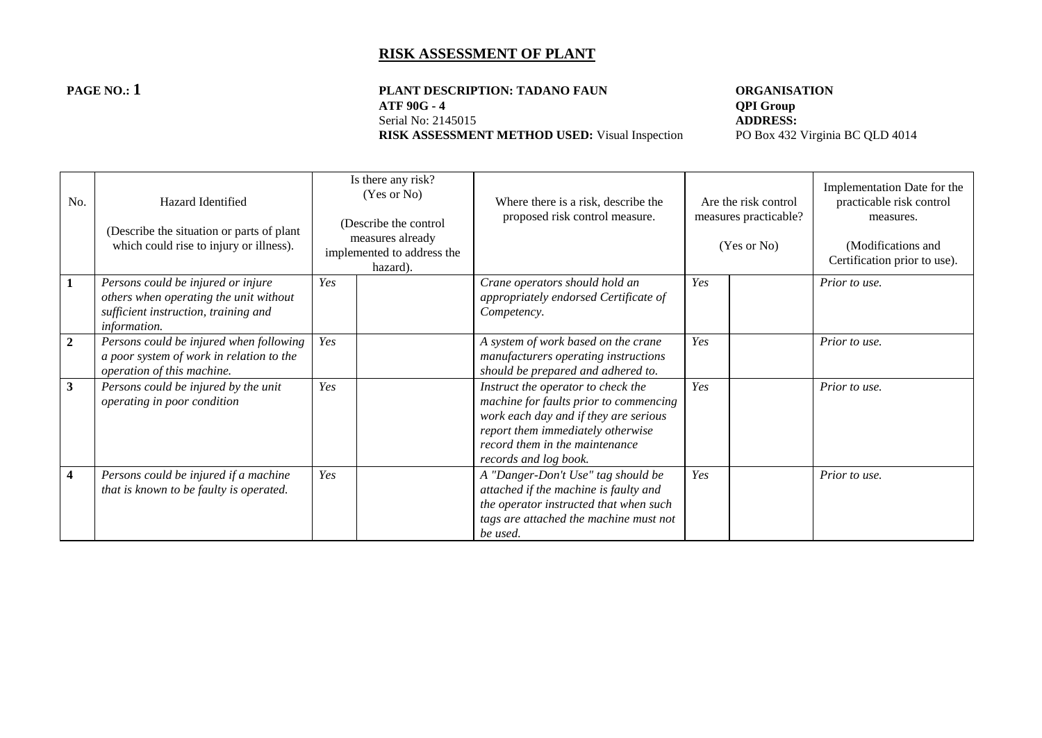# **PAGE NO.: 1 PLANT DESCRIPTION: TADANO FAUN ORGANISATION**<br>ATF 90G - 4 **QPI** Group **ATF 90G - 4 QPI Group**<br>Serial No: 2145015 **ADDRESS:**

**RISK ASSESSMENT METHOD USED:** Visual Inspection

Serial No: 2145015<br> **RISK ASSESSMENT METHOD USED:** Visual Inspection<br>
PO Box 432 Virginia BC QLD 4014

| No.                     | Hazard Identified<br>(Describe the situation or parts of plant<br>which could rise to injury or illness).                            |     | Is there any risk?<br>(Yes or No)<br>(Describe the control<br>measures already<br>implemented to address the<br>hazard). | Where there is a risk, describe the<br>proposed risk control measure.                                                                                                                                                 | Are the risk control<br>measures practicable?<br>(Yes or No) |  | Implementation Date for the<br>practicable risk control<br>measures.<br>(Modifications and<br>Certification prior to use). |
|-------------------------|--------------------------------------------------------------------------------------------------------------------------------------|-----|--------------------------------------------------------------------------------------------------------------------------|-----------------------------------------------------------------------------------------------------------------------------------------------------------------------------------------------------------------------|--------------------------------------------------------------|--|----------------------------------------------------------------------------------------------------------------------------|
| $\mathbf{1}$            | Persons could be injured or injure<br>others when operating the unit without<br>sufficient instruction, training and<br>information. | Yes |                                                                                                                          | Crane operators should hold an<br>appropriately endorsed Certificate of<br>Competency.                                                                                                                                | Yes                                                          |  | Prior to use.                                                                                                              |
| $\overline{2}$          | Persons could be injured when following<br>a poor system of work in relation to the<br>operation of this machine.                    | Yes |                                                                                                                          | A system of work based on the crane<br>manufacturers operating instructions<br>should be prepared and adhered to.                                                                                                     | Yes                                                          |  | Prior to use.                                                                                                              |
| $\mathbf{3}$            | Persons could be injured by the unit<br>operating in poor condition                                                                  | Yes |                                                                                                                          | Instruct the operator to check the<br>machine for faults prior to commencing<br>work each day and if they are serious<br>report them immediately otherwise<br>record them in the maintenance<br>records and log book. | Yes                                                          |  | Prior to use.                                                                                                              |
| $\overline{\mathbf{4}}$ | Persons could be injured if a machine<br>that is known to be faulty is operated.                                                     | Yes |                                                                                                                          | A "Danger-Don't Use" tag should be<br>attached if the machine is faulty and<br>the operator instructed that when such<br>tags are attached the machine must not<br>be used.                                           | Yes                                                          |  | Prior to use.                                                                                                              |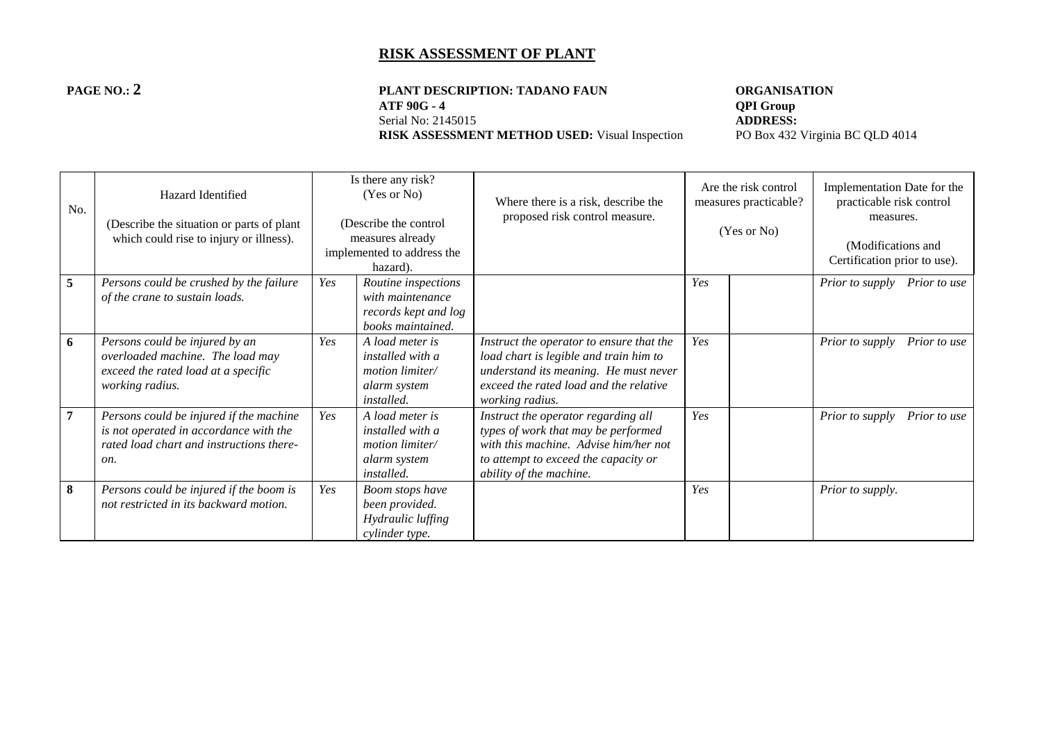#### **PAGE NO.: 2 PLANT DESCRIPTION: TADANO FAUN ORGANISATION**<br>ATF 90G - 4 **QPI Group ATF 90G - 4 QPI Group**<br>Serial No: 2145015 **ADDRESS:** Serial No: 2145015<br> **RISK ASSESSMENT METHOD USED:** Visual Inspection<br>
PO Box 432 Virginia BC QLD 4014 **RISK ASSESSMENT METHOD USED:** Visual Inspection

| No.            | Hazard Identified<br>(Describe the situation or parts of plant)<br>which could rise to injury or illness).                           |     | Is there any risk?<br>(Yes or No)<br>(Describe the control<br>measures already<br>implemented to address the<br>hazard). | Where there is a risk, describe the<br>proposed risk control measure.                                                                                                                    | Are the risk control<br>measures practicable?<br>(Yes or No) |  | Implementation Date for the<br>practicable risk control<br>measures.<br>(Modifications and<br>Certification prior to use). |
|----------------|--------------------------------------------------------------------------------------------------------------------------------------|-----|--------------------------------------------------------------------------------------------------------------------------|------------------------------------------------------------------------------------------------------------------------------------------------------------------------------------------|--------------------------------------------------------------|--|----------------------------------------------------------------------------------------------------------------------------|
| 5              | Persons could be crushed by the failure<br>of the crane to sustain loads.                                                            | Yes | Routine inspections<br>with maintenance<br>records kept and log<br>books maintained.                                     |                                                                                                                                                                                          | Yes                                                          |  | <i>Prior to supply</i><br>Prior to use                                                                                     |
| 6              | Persons could be injured by an<br>overloaded machine. The load may<br>exceed the rated load at a specific<br>working radius.         | Yes | A load meter is<br><i>installed with a</i><br><i>motion limiter</i><br>alarm system<br><i>installed.</i>                 | Instruct the operator to ensure that the<br>load chart is legible and train him to<br>understand its meaning. He must never<br>exceed the rated load and the relative<br>working radius. | Yes                                                          |  | Prior to supply<br>Prior to use                                                                                            |
| $\overline{7}$ | Persons could be injured if the machine<br>is not operated in accordance with the<br>rated load chart and instructions there-<br>on. | Yes | A load meter is<br><i>installed with a</i><br>motion limiter/<br>alarm system<br><i>installed.</i>                       | Instruct the operator regarding all<br>types of work that may be performed<br>with this machine. Advise him/her not<br>to attempt to exceed the capacity or<br>ability of the machine.   | Yes                                                          |  | Prior to supply<br>Prior to use                                                                                            |
| 8              | Persons could be injured if the boom is<br>not restricted in its backward motion.                                                    | Yes | Boom stops have<br>been provided.<br>Hydraulic luffing<br>cylinder type.                                                 |                                                                                                                                                                                          | Yes                                                          |  | Prior to supply.                                                                                                           |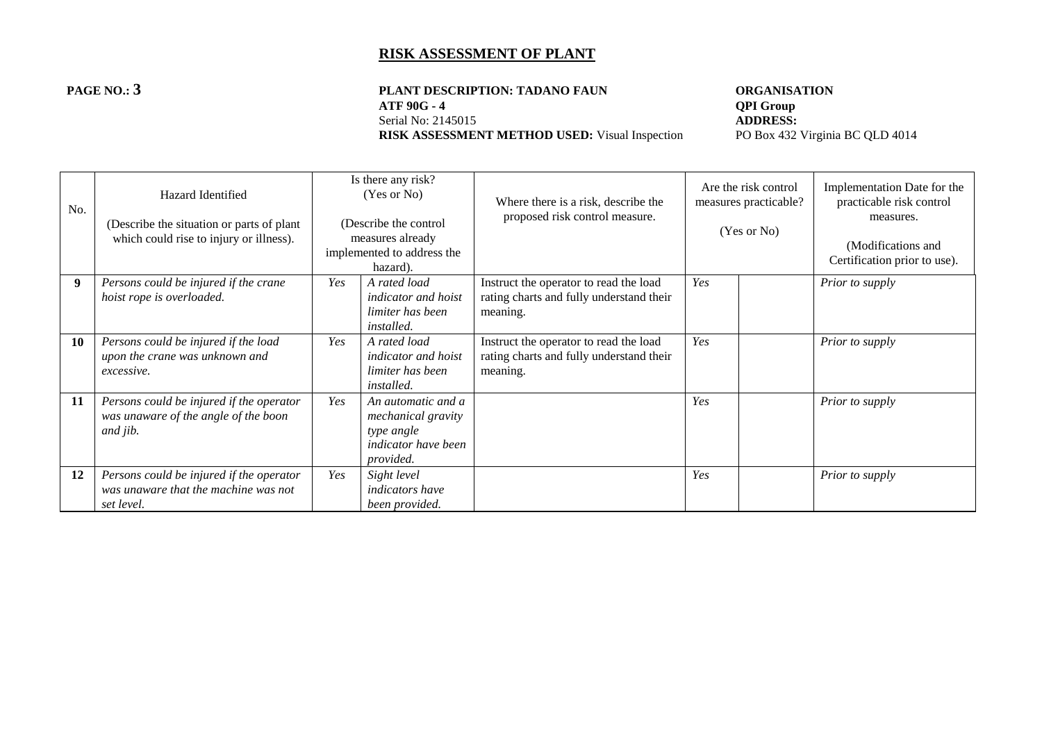#### **PAGE NO.: 3 PLANT DESCRIPTION: TADANO FAUN ORGANISATION**<br>ATF 90G - 4 **QPI Group ATF 90G - 4 QPI Group**<br>Serial No: 2145015 **ADDRESS:** Serial No: 2145015<br> **RISK ASSESSMENT METHOD USED:** Visual Inspection<br>
PO Box 432 Virginia BC QLD 4014 **RISK ASSESSMENT METHOD USED:** Visual Inspection

| No.       | Hazard Identified<br>(Describe the situation or parts of plant)<br>which could rise to injury or illness). |     | Is there any risk?<br>(Yes or No)<br>(Describe the control<br>measures already<br>implemented to address the<br>hazard). | Where there is a risk, describe the<br>proposed risk control measure.                          |     | Are the risk control<br>measures practicable?<br>(Yes or No) | Implementation Date for the<br>practicable risk control<br>measures.<br>(Modifications and<br>Certification prior to use). |
|-----------|------------------------------------------------------------------------------------------------------------|-----|--------------------------------------------------------------------------------------------------------------------------|------------------------------------------------------------------------------------------------|-----|--------------------------------------------------------------|----------------------------------------------------------------------------------------------------------------------------|
| 9         | Persons could be injured if the crane<br>hoist rope is overloaded.                                         | Yes | A rated load<br><i>indicator and hoist</i><br>limiter has been<br><i>installed.</i>                                      | Instruct the operator to read the load<br>rating charts and fully understand their<br>meaning. | Yes |                                                              | Prior to supply                                                                                                            |
| <b>10</b> | Persons could be injured if the load<br>upon the crane was unknown and<br>excessive.                       | Yes | A rated load<br><i>indicator and hoist</i><br>limiter has been<br><i>installed.</i>                                      | Instruct the operator to read the load<br>rating charts and fully understand their<br>meaning. | Yes |                                                              | Prior to supply                                                                                                            |
| 11        | Persons could be injured if the operator<br>was unaware of the angle of the boon<br>and jib.               | Yes | An automatic and a<br>mechanical gravity<br>type angle<br><i>indicator have been</i><br>provided.                        |                                                                                                | Yes |                                                              | Prior to supply                                                                                                            |
| 12        | Persons could be injured if the operator<br>was unaware that the machine was not<br>set level.             | Yes | Sight level<br><i>indicators have</i><br>been provided.                                                                  |                                                                                                | Yes |                                                              | Prior to supply                                                                                                            |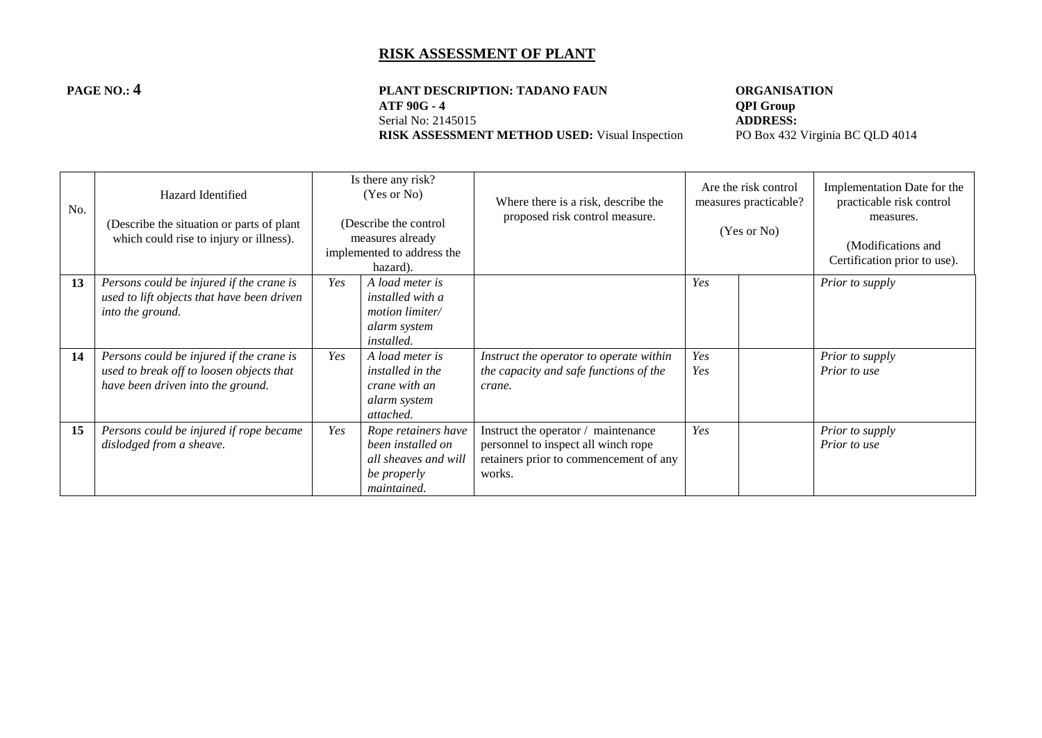# **PAGE NO.: 4 PLANT DESCRIPTION: TADANO FAUN ORGANISATION**<br>ATF 90G - 4 **QPI** Group **ATF 90G - 4 QPI Group**<br>Serial No: 2145015 **ADDRESS:**

Serial No: 2145015<br> **RISK ASSESSMENT METHOD USED:** Visual Inspection<br>
PO Box 432 Virginia BC QLD 4014 **RISK ASSESSMENT METHOD USED:** Visual Inspection

| No. | Hazard Identified<br>(Describe the situation or parts of plant)<br>which could rise to injury or illness).                |     | Is there any risk?<br>(Yes or No)<br>(Describe the control<br>measures already<br>implemented to address the<br>hazard). | Where there is a risk, describe the<br>proposed risk control measure.                                                          | Are the risk control<br>measures practicable?<br>(Yes or No) |  | Implementation Date for the<br>practicable risk control<br>measures.<br>(Modifications and<br>Certification prior to use). |
|-----|---------------------------------------------------------------------------------------------------------------------------|-----|--------------------------------------------------------------------------------------------------------------------------|--------------------------------------------------------------------------------------------------------------------------------|--------------------------------------------------------------|--|----------------------------------------------------------------------------------------------------------------------------|
| 13  | Persons could be injured if the crane is<br>used to lift objects that have been driven<br>into the ground.                | Yes | A load meter is<br><i>installed</i> with a<br>motion limiter/<br>alarm system<br><i>installed.</i>                       |                                                                                                                                | Yes                                                          |  | Prior to supply                                                                                                            |
| 14  | Persons could be injured if the crane is<br>used to break off to loosen objects that<br>have been driven into the ground. | Yes | A load meter is<br>installed in the<br>crane with an<br>alarm system<br>attached.                                        | Instruct the operator to operate within<br>the capacity and safe functions of the<br>crane.                                    | Yes<br>Yes                                                   |  | Prior to supply<br>Prior to use                                                                                            |
| 15  | Persons could be injured if rope became<br>dislodged from a sheave.                                                       | Yes | Rope retainers have<br>been installed on<br>all sheaves and will<br>be properly<br>maintained.                           | Instruct the operator / maintenance<br>personnel to inspect all winch rope<br>retainers prior to commencement of any<br>works. | Yes                                                          |  | Prior to supply<br>Prior to use                                                                                            |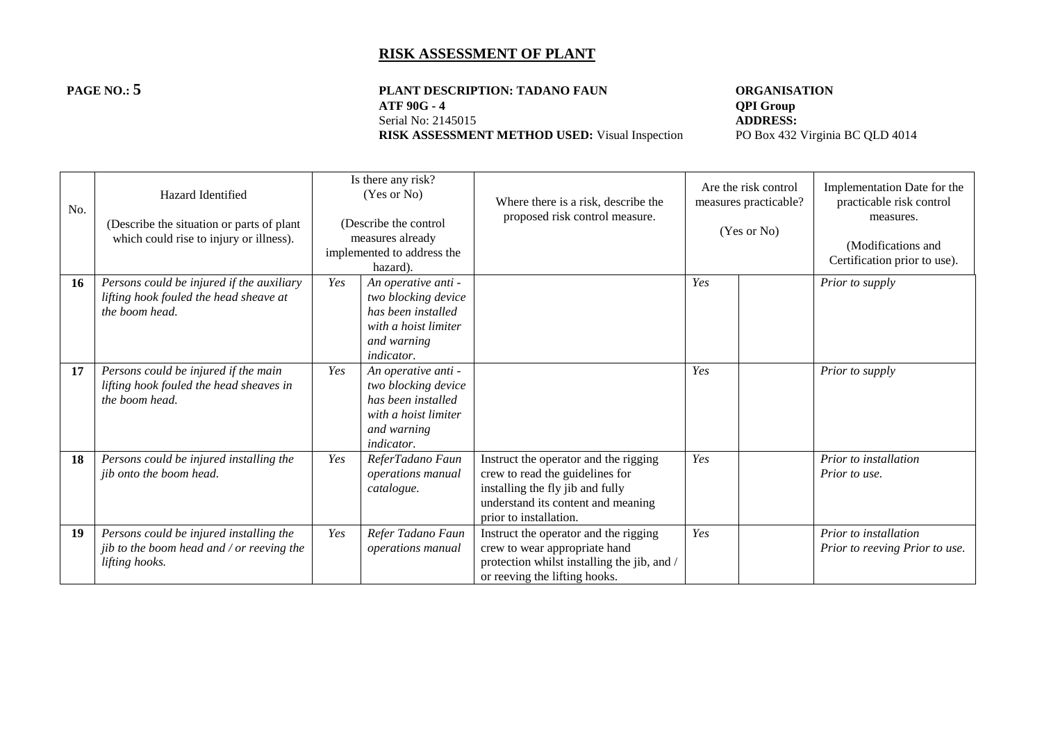# **PAGE NO.: 5 PLANT DESCRIPTION: TADANO FAUN ORGANISATION**<br>ATF 90G - 4 **QPI** Group **ATF 90G - 4 QPI Group**<br>Serial No: 2145015 **ADDRESS:**

**RISK ASSESSMENT METHOD USED:** Visual Inspection

Serial No: 2145015<br> **RISK ASSESSMENT METHOD USED:** Visual Inspection<br>
PO Box 432 Virginia BC QLD 4014

| No. | <b>Hazard Identified</b><br>(Describe the situation or parts of plant<br>which could rise to injury or illness). |     | Is there any risk?<br>(Yes or No)<br>(Describe the control<br>measures already<br>implemented to address the<br>hazard).     | Where there is a risk, describe the<br>proposed risk control measure.                                                                                                        | Are the risk control<br>measures practicable?<br>(Yes or No) |  | Implementation Date for the<br>practicable risk control<br>measures.<br>(Modifications and<br>Certification prior to use). |
|-----|------------------------------------------------------------------------------------------------------------------|-----|------------------------------------------------------------------------------------------------------------------------------|------------------------------------------------------------------------------------------------------------------------------------------------------------------------------|--------------------------------------------------------------|--|----------------------------------------------------------------------------------------------------------------------------|
| 16  | Persons could be injured if the auxiliary<br>lifting hook fouled the head sheave at<br>the boom head.            | Yes | An operative anti -<br>two blocking device<br>has been installed<br>with a hoist limiter<br>and warning<br><i>indicator.</i> |                                                                                                                                                                              | Yes                                                          |  | Prior to supply                                                                                                            |
| 17  | Persons could be injured if the main<br>lifting hook fouled the head sheaves in<br>the boom head.                | Yes | An operative anti -<br>two blocking device<br>has been installed<br>with a hoist limiter<br>and warning<br><i>indicator.</i> |                                                                                                                                                                              | Yes                                                          |  | Prior to supply                                                                                                            |
| 18  | Persons could be injured installing the<br>jib onto the boom head.                                               | Yes | ReferTadano Faun<br>operations manual<br>catalogue.                                                                          | Instruct the operator and the rigging<br>crew to read the guidelines for<br>installing the fly jib and fully<br>understand its content and meaning<br>prior to installation. | Yes                                                          |  | Prior to installation<br>Prior to use.                                                                                     |
| 19  | Persons could be injured installing the<br>jib to the boom head and / or reeving the<br>lifting hooks.           | Yes | Refer Tadano Faun<br>operations manual                                                                                       | Instruct the operator and the rigging<br>crew to wear appropriate hand<br>protection whilst installing the jib, and /<br>or reeving the lifting hooks.                       | Yes                                                          |  | Prior to installation<br>Prior to reeving Prior to use.                                                                    |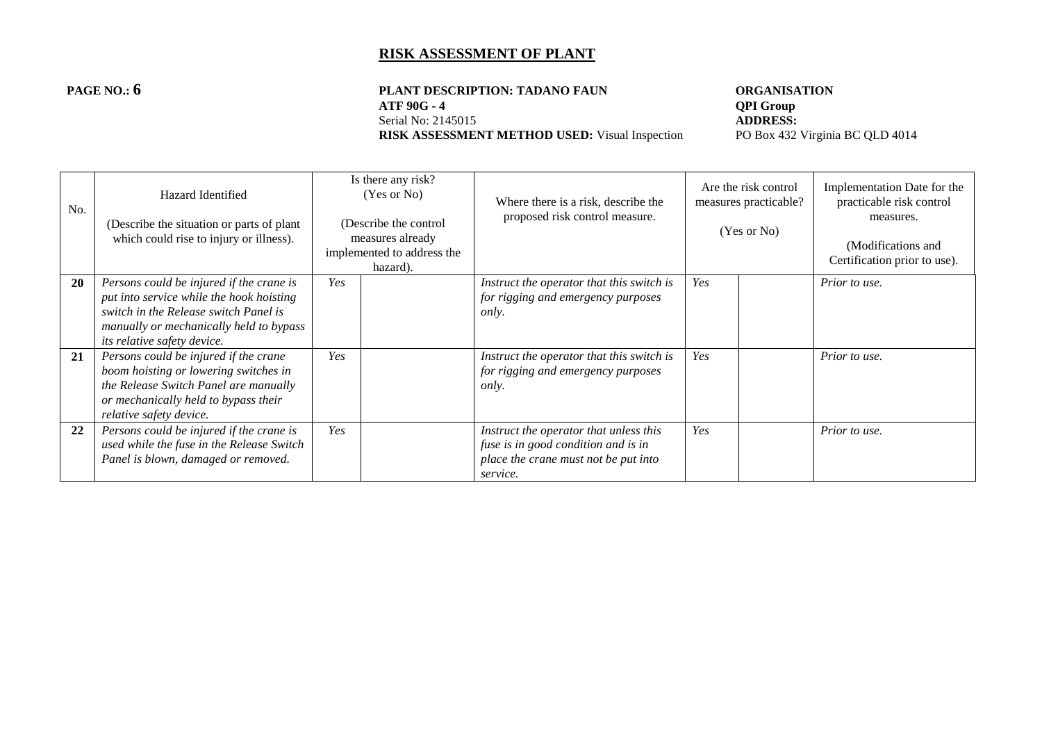# **PAGE NO.: 6 PLANT DESCRIPTION: TADANO FAUN ORGANISATION**<br>ATF 90G - 4 **QPI** Group **ATF 90G - 4 QPI Group**<br>Serial No: 2145015 **ADDRESS:**

**RISK ASSESSMENT METHOD USED:** Visual Inspection

Serial No: 2145015<br> **RISK ASSESSMENT METHOD USED:** Visual Inspection<br>
PO Box 432 Virginia BC QLD 4014

| No. | Hazard Identified<br>(Describe the situation or parts of plant<br>which could rise to injury or illness).                                                                                               |     | Is there any risk?<br>(Yes or No)<br>(Describe the control<br>measures already<br>implemented to address the<br>hazard). | Where there is a risk, describe the<br>proposed risk control measure.                                                             | Are the risk control<br>measures practicable?<br>(Yes or No) |  | Implementation Date for the<br>practicable risk control<br>measures.<br>(Modifications and<br>Certification prior to use). |
|-----|---------------------------------------------------------------------------------------------------------------------------------------------------------------------------------------------------------|-----|--------------------------------------------------------------------------------------------------------------------------|-----------------------------------------------------------------------------------------------------------------------------------|--------------------------------------------------------------|--|----------------------------------------------------------------------------------------------------------------------------|
| 20  | Persons could be injured if the crane is<br>put into service while the hook hoisting<br>switch in the Release switch Panel is<br>manually or mechanically held to bypass<br>its relative safety device. | Yes |                                                                                                                          | Instruct the operator that this switch is<br>for rigging and emergency purposes<br>only.                                          | Yes                                                          |  | Prior to use.                                                                                                              |
| 21  | Persons could be injured if the crane<br>boom hoisting or lowering switches in<br>the Release Switch Panel are manually<br>or mechanically held to bypass their<br>relative safety device.              | Yes |                                                                                                                          | Instruct the operator that this switch is<br>for rigging and emergency purposes<br>only.                                          | Yes                                                          |  | Prior to use.                                                                                                              |
| 22  | Persons could be injured if the crane is<br>used while the fuse in the Release Switch<br>Panel is blown, damaged or removed.                                                                            | Yes |                                                                                                                          | Instruct the operator that unless this<br>fuse is in good condition and is in<br>place the crane must not be put into<br>service. | Yes                                                          |  | Prior to use.                                                                                                              |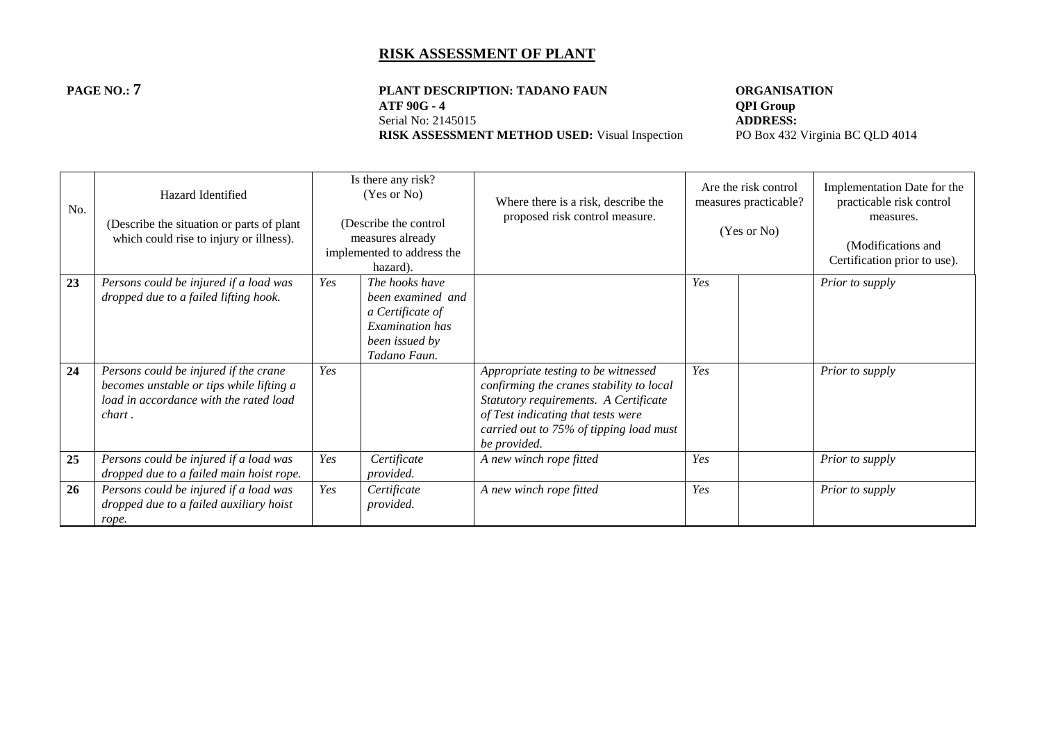**PAGE NO.: 7 PLANT DESCRIPTION: TADANO FAUN ORGANISATION**<br>ATF 90G - 4 **QPI Group ATF 90G - 4 QPI Group**<br>Serial No: 2145015 **ADDRESS:** Serial No: 2145015<br> **RISK ASSESSMENT METHOD USED:** Visual Inspection<br>
PO Box 432 Virginia BC QLD 4014 **RISK ASSESSMENT METHOD USED:** Visual Inspection

| No. | Hazard Identified<br>(Describe the situation or parts of plant)<br>which could rise to injury or illness).                            |     | Is there any risk?<br>(Yes or No)<br>(Describe the control<br>measures already<br>implemented to address the<br>hazard). | Where there is a risk, describe the<br>proposed risk control measure.                                                                                                                                                     |     | Are the risk control<br>measures practicable?<br>(Yes or No) | Implementation Date for the<br>practicable risk control<br>measures.<br>(Modifications and<br>Certification prior to use). |
|-----|---------------------------------------------------------------------------------------------------------------------------------------|-----|--------------------------------------------------------------------------------------------------------------------------|---------------------------------------------------------------------------------------------------------------------------------------------------------------------------------------------------------------------------|-----|--------------------------------------------------------------|----------------------------------------------------------------------------------------------------------------------------|
| 23  | Persons could be injured if a load was<br>dropped due to a failed lifting hook.                                                       | Yes | The hooks have<br>been examined and<br>a Certificate of<br>Examination has<br>been issued by<br>Tadano Faun.             |                                                                                                                                                                                                                           | Yes |                                                              | Prior to supply                                                                                                            |
| 24  | Persons could be injured if the crane<br>becomes unstable or tips while lifting a<br>load in accordance with the rated load<br>chart. | Yes |                                                                                                                          | Appropriate testing to be witnessed<br>confirming the cranes stability to local<br>Statutory requirements. A Certificate<br>of Test indicating that tests were<br>carried out to 75% of tipping load must<br>be provided. | Yes |                                                              | Prior to supply                                                                                                            |
| 25  | Persons could be injured if a load was<br>dropped due to a failed main hoist rope.                                                    | Yes | Certificate<br>provided.                                                                                                 | A new winch rope fitted                                                                                                                                                                                                   | Yes |                                                              | Prior to supply                                                                                                            |
| 26  | Persons could be injured if a load was<br>dropped due to a failed auxiliary hoist<br>rope.                                            | Yes | Certificate<br>provided.                                                                                                 | A new winch rope fitted                                                                                                                                                                                                   | Yes |                                                              | Prior to supply                                                                                                            |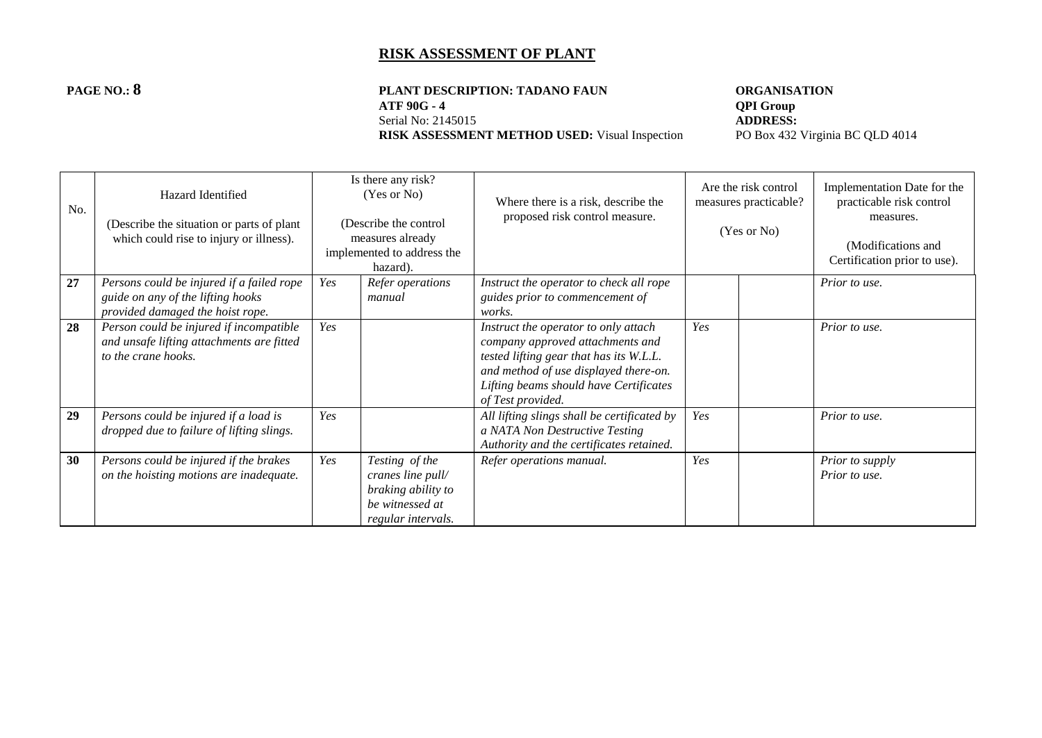#### **PAGE NO.: 8 PLANT DESCRIPTION: TADANO FAUN ORGANISATION**<br>ATF 90G - 4 **QPI** Group **ATF 90G - 4 QPI Group**<br>Serial No: 2145015 **ADDRESS:** Serial No: 2145015<br> **RISK ASSESSMENT METHOD USED:** Visual Inspection<br>
PO Box 432 Virginia BC QLD 4014 **RISK ASSESSMENT METHOD USED:** Visual Inspection

| No. | Hazard Identified<br>(Describe the situation or parts of plant<br>which could rise to injury or illness).          |     | Is there any risk?<br>(Yes or No)<br>(Describe the control<br>measures already<br>implemented to address the<br>hazard). | Where there is a risk, describe the<br>proposed risk control measure.                                                                                                                                                       |     | Are the risk control<br>measures practicable?<br>(Yes or No) | Implementation Date for the<br>practicable risk control<br>measures.<br>(Modifications and<br>Certification prior to use). |
|-----|--------------------------------------------------------------------------------------------------------------------|-----|--------------------------------------------------------------------------------------------------------------------------|-----------------------------------------------------------------------------------------------------------------------------------------------------------------------------------------------------------------------------|-----|--------------------------------------------------------------|----------------------------------------------------------------------------------------------------------------------------|
| 27  | Persons could be injured if a failed rope<br>guide on any of the lifting hooks<br>provided damaged the hoist rope. | Yes | Refer operations<br>manual                                                                                               | Instruct the operator to check all rope<br>guides prior to commencement of<br>works.                                                                                                                                        |     |                                                              | Prior to use.                                                                                                              |
| 28  | Person could be injured if incompatible<br>and unsafe lifting attachments are fitted<br>to the crane hooks.        | Yes |                                                                                                                          | Instruct the operator to only attach<br>company approved attachments and<br>tested lifting gear that has its W.L.L.<br>and method of use displayed there-on.<br>Lifting beams should have Certificates<br>of Test provided. | Yes |                                                              | Prior to use.                                                                                                              |
| 29  | Persons could be injured if a load is<br>dropped due to failure of lifting slings.                                 | Yes |                                                                                                                          | All lifting slings shall be certificated by<br>a NATA Non Destructive Testing<br>Authority and the certificates retained.                                                                                                   | Yes |                                                              | Prior to use.                                                                                                              |
| 30  | Persons could be injured if the brakes<br>on the hoisting motions are inadequate.                                  | Yes | Testing of the<br>cranes line pull/<br>braking ability to<br>be witnessed at<br>regular intervals.                       | Refer operations manual.                                                                                                                                                                                                    | Yes |                                                              | Prior to supply<br>Prior to use.                                                                                           |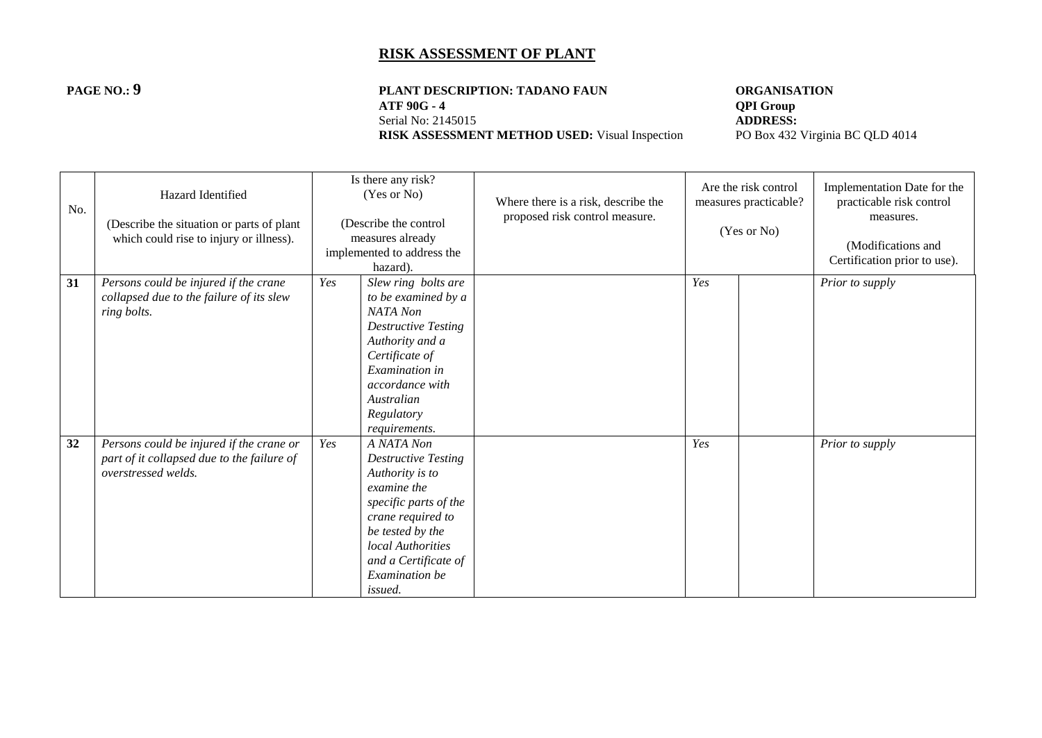# **PAGE NO.: 9 PLANT DESCRIPTION: TADANO FAUN ORGANISATION**<br>ATF 90G - 4 **QPI Group**

**RISK ASSESSMENT METHOD USED:** Visual Inspection

**ATF 90G - 4 QPI Group**<br>Serial No: 2145015 **ADDRESS:** Serial No: 2145015<br> **RISK ASSESSMENT METHOD USED:** Visual Inspection<br>
PO Box 432 Virginia BC QLD 4014

| No. | Hazard Identified<br>(Describe the situation or parts of plant<br>which could rise to injury or illness).     |     | Is there any risk?<br>(Yes or No)<br>(Describe the control<br>measures already<br>implemented to address the<br>hazard).                                                                                               | Where there is a risk, describe the<br>proposed risk control measure. |     | Are the risk control<br>measures practicable?<br>(Yes or No) | Implementation Date for the<br>practicable risk control<br>measures.<br>(Modifications and<br>Certification prior to use). |
|-----|---------------------------------------------------------------------------------------------------------------|-----|------------------------------------------------------------------------------------------------------------------------------------------------------------------------------------------------------------------------|-----------------------------------------------------------------------|-----|--------------------------------------------------------------|----------------------------------------------------------------------------------------------------------------------------|
| 31  | Persons could be injured if the crane<br>collapsed due to the failure of its slew<br>ring bolts.              | Yes | Slew ring bolts are<br>to be examined by a<br>NATA Non<br><b>Destructive Testing</b><br>Authority and a<br>Certificate of<br>Examination in<br>accordance with<br>Australian<br>Regulatory<br>requirements.            |                                                                       | Yes |                                                              | Prior to supply                                                                                                            |
| 32  | Persons could be injured if the crane or<br>part of it collapsed due to the failure of<br>overstressed welds. | Yes | A NATA Non<br><b>Destructive Testing</b><br>Authority is to<br>examine the<br>specific parts of the<br>crane required to<br>be tested by the<br>local Authorities<br>and a Certificate of<br>Examination be<br>issued. |                                                                       | Yes |                                                              | Prior to supply                                                                                                            |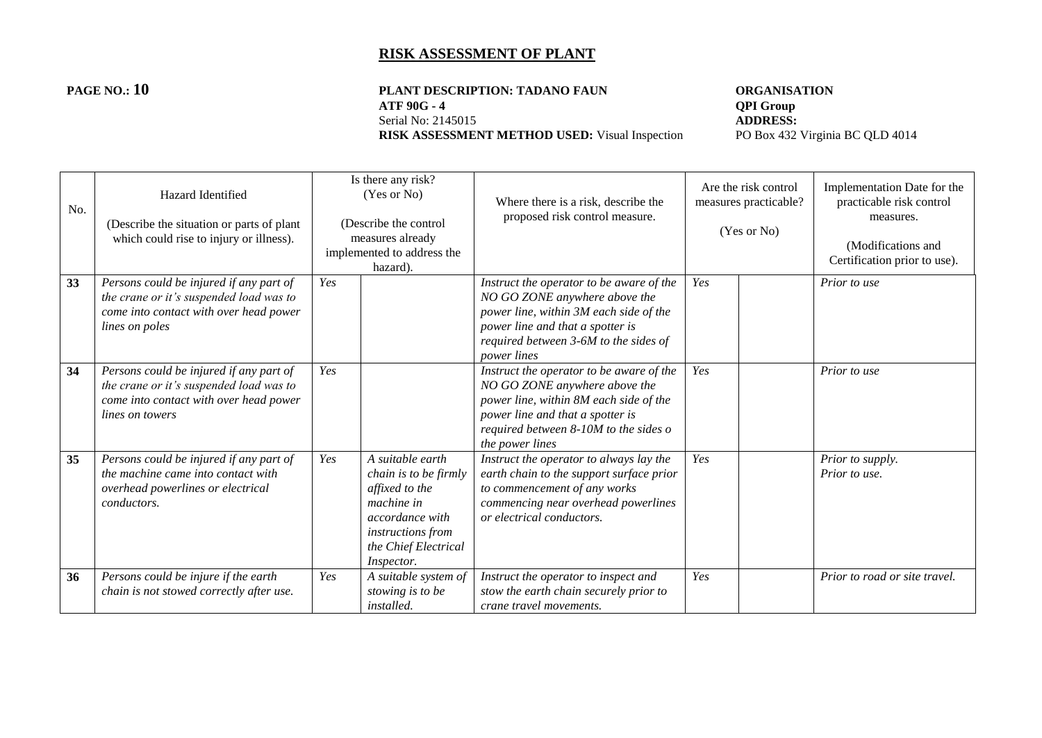# **PAGE NO.: 10 PLANT DESCRIPTION: TADANO FAUN ORGANISATION**<br>ATF 90G - 4 **QPI Group ATF 90G - 4 QPI Group**<br>Serial No: 2145015 **ADDRESS:**

**RISK ASSESSMENT METHOD USED:** Visual Inspection

Serial No: 2145015<br> **RISK ASSESSMENT METHOD USED:** Visual Inspection<br>
PO Box 432 Virginia BC QLD 4014

| No. | Hazard Identified<br>(Describe the situation or parts of plant<br>which could rise to injury or illness).                                       |     | Is there any risk?<br>(Yes or No)<br>(Describe the control)<br>measures already<br>implemented to address the<br>hazard).                                      | Where there is a risk, describe the<br>proposed risk control measure.                                                                                                                                                  | Are the risk control<br>measures practicable?<br>(Yes or No) |  | Implementation Date for the<br>practicable risk control<br>measures.<br>(Modifications and<br>Certification prior to use). |
|-----|-------------------------------------------------------------------------------------------------------------------------------------------------|-----|----------------------------------------------------------------------------------------------------------------------------------------------------------------|------------------------------------------------------------------------------------------------------------------------------------------------------------------------------------------------------------------------|--------------------------------------------------------------|--|----------------------------------------------------------------------------------------------------------------------------|
| 33  | Persons could be injured if any part of<br>the crane or it's suspended load was to<br>come into contact with over head power<br>lines on poles  | Yes |                                                                                                                                                                | Instruct the operator to be aware of the<br>NO GO ZONE anywhere above the<br>power line, within 3M each side of the<br>power line and that a spotter is<br>required between 3-6M to the sides of<br><i>power lines</i> | Yes                                                          |  | Prior to use                                                                                                               |
| 34  | Persons could be injured if any part of<br>the crane or it's suspended load was to<br>come into contact with over head power<br>lines on towers | Yes |                                                                                                                                                                | Instruct the operator to be aware of the<br>NO GO ZONE anywhere above the<br>power line, within 8M each side of the<br>power line and that a spotter is<br>required between 8-10M to the sides o<br>the power lines    | Yes                                                          |  | Prior to use                                                                                                               |
| 35  | Persons could be injured if any part of<br>the machine came into contact with<br>overhead powerlines or electrical<br><i>conductors.</i>        | Yes | A suitable earth<br>chain is to be firmly<br>affixed to the<br>machine in<br>accordance with<br>instructions from<br>the Chief Electrical<br><i>Inspector.</i> | Instruct the operator to always lay the<br>earth chain to the support surface prior<br>to commencement of any works<br>commencing near overhead powerlines<br>or electrical conductors.                                | Yes                                                          |  | Prior to supply.<br>Prior to use.                                                                                          |
| 36  | Persons could be injure if the earth<br>chain is not stowed correctly after use.                                                                | Yes | A suitable system of<br>stowing is to be<br><i>installed.</i>                                                                                                  | Instruct the operator to inspect and<br>stow the earth chain securely prior to<br>crane travel movements.                                                                                                              | Yes                                                          |  | Prior to road or site travel.                                                                                              |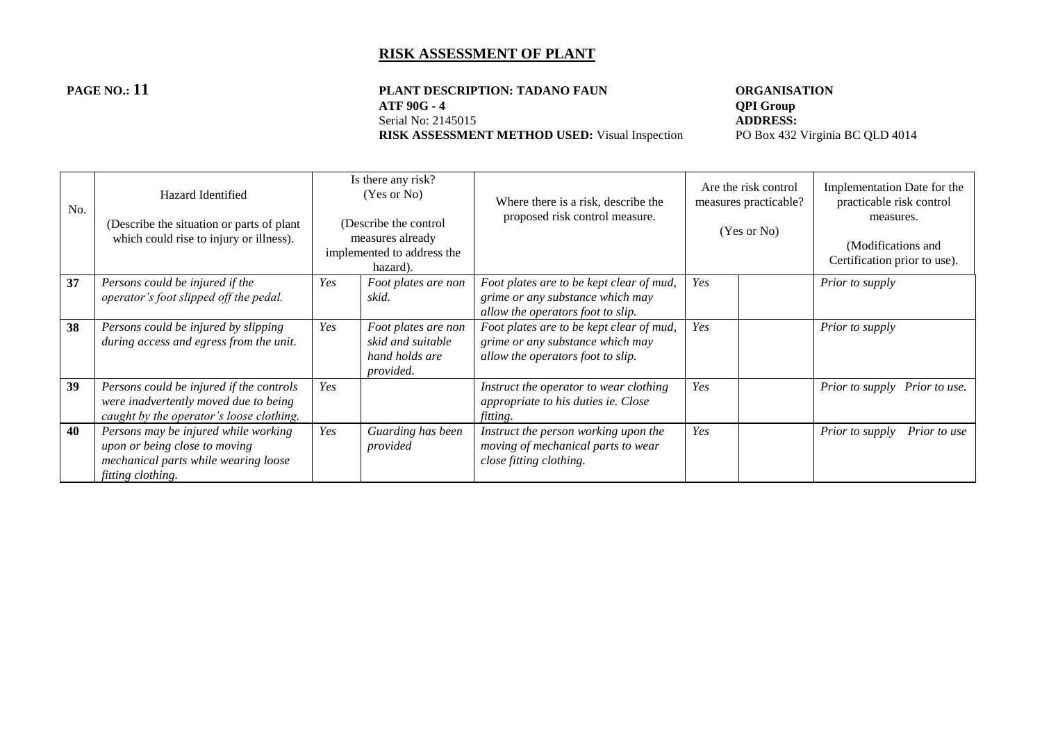#### **PAGE NO.: 11 PLANT DESCRIPTION: TADANO FAUN ORGANISATION**<br>ATF 90G - 4 **QPI Group ATF 90G - 4 QPI Group**<br>Serial No: 2145015 **ADDRESS:** Serial No: 2145015<br> **RISK ASSESSMENT METHOD USED:** Visual Inspection<br>
PO Box 432 Virginia BC QLD 4014 **RISK ASSESSMENT METHOD USED:** Visual Inspection

| No. | Hazard Identified<br>(Describe the situation or parts of plant<br>which could rise to injury or illness).                          |     | Is there any risk?<br>(Yes or No)<br>(Describe the control<br>measures already<br>implemented to address the<br>hazard). | Where there is a risk, describe the<br>proposed risk control measure.                                             | Are the risk control<br>measures practicable?<br>(Yes or No) |  | Implementation Date for the<br>practicable risk control<br>measures.<br>(Modifications and<br>Certification prior to use). |
|-----|------------------------------------------------------------------------------------------------------------------------------------|-----|--------------------------------------------------------------------------------------------------------------------------|-------------------------------------------------------------------------------------------------------------------|--------------------------------------------------------------|--|----------------------------------------------------------------------------------------------------------------------------|
| 37  | Persons could be injured if the<br>operator's foot slipped off the pedal.                                                          | Yes | Foot plates are non<br>skid.                                                                                             | Foot plates are to be kept clear of mud,<br>grime or any substance which may<br>allow the operators foot to slip. | Yes                                                          |  | Prior to supply                                                                                                            |
| 38  | Persons could be injured by slipping<br>during access and egress from the unit.                                                    | Yes | Foot plates are non<br>skid and suitable<br>hand holds are<br>provided.                                                  | Foot plates are to be kept clear of mud,<br>grime or any substance which may<br>allow the operators foot to slip. | Yes                                                          |  | Prior to supply                                                                                                            |
| 39  | Persons could be injured if the controls<br>were inadvertently moved due to being<br>caught by the operator's loose clothing.      | Yes |                                                                                                                          | Instruct the operator to wear clothing<br>appropriate to his duties ie. Close<br>fitting.                         | Yes                                                          |  | Prior to supply Prior to use.                                                                                              |
| 40  | Persons may be injured while working<br>upon or being close to moving<br>mechanical parts while wearing loose<br>fitting clothing. | Yes | Guarding has been<br>provided                                                                                            | Instruct the person working upon the<br>moving of mechanical parts to wear<br>close fitting clothing.             | Yes                                                          |  | Prior to supply<br>Prior to use                                                                                            |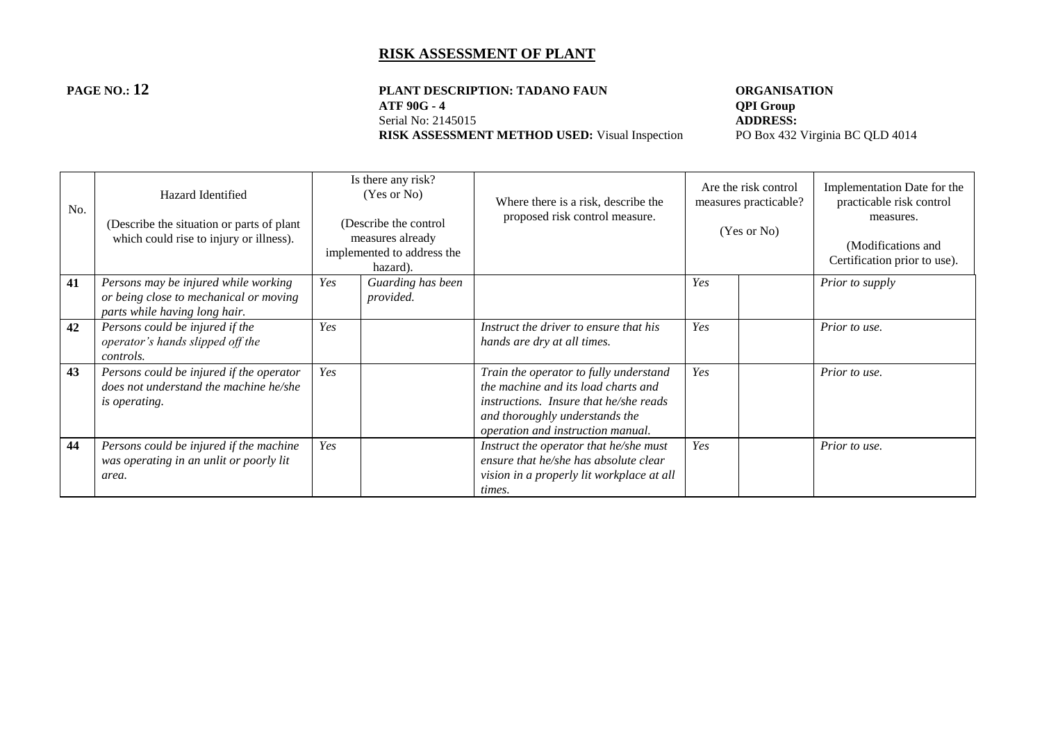#### **PAGE NO.: 12 PLANT DESCRIPTION: TADANO FAUN ORGANISATION**<br>ATF 90G - 4 **QPI Group ATF 90G - 4 QPI Group**<br>Serial No: 2145015 **ADDRESS:** Serial No: 2145015<br> **RISK ASSESSMENT METHOD USED:** Visual Inspection<br>
PO Box 432 Virginia BC QLD 4014 **RISK ASSESSMENT METHOD USED:** Visual Inspection

| No. | Hazard Identified<br>(Describe the situation or parts of plant)<br>which could rise to injury or illness).      |     | Is there any risk?<br>(Yes or No)<br>(Describe the control<br>measures already<br>implemented to address the<br>hazard). | Where there is a risk, describe the<br>proposed risk control measure.                                                                                                                          | Are the risk control<br>measures practicable?<br>(Yes or No) |  | Implementation Date for the<br>practicable risk control<br>measures.<br>(Modifications and<br>Certification prior to use). |
|-----|-----------------------------------------------------------------------------------------------------------------|-----|--------------------------------------------------------------------------------------------------------------------------|------------------------------------------------------------------------------------------------------------------------------------------------------------------------------------------------|--------------------------------------------------------------|--|----------------------------------------------------------------------------------------------------------------------------|
| 41  | Persons may be injured while working<br>or being close to mechanical or moving<br>parts while having long hair. | Yes | Guarding has been<br>provided.                                                                                           |                                                                                                                                                                                                | Yes                                                          |  | Prior to supply                                                                                                            |
| 42  | Persons could be injured if the<br>operator's hands slipped off the<br>controls.                                | Yes |                                                                                                                          | Instruct the driver to ensure that his<br>hands are dry at all times.                                                                                                                          | Yes                                                          |  | Prior to use.                                                                                                              |
| 43  | Persons could be injured if the operator<br>does not understand the machine he/she<br><i>is operating.</i>      | Yes |                                                                                                                          | Train the operator to fully understand<br>the machine and its load charts and<br>instructions. Insure that he/she reads<br>and thoroughly understands the<br>operation and instruction manual. | Yes                                                          |  | Prior to use.                                                                                                              |
| 44  | Persons could be injured if the machine<br>was operating in an unlit or poorly lit<br>area.                     | Yes |                                                                                                                          | Instruct the operator that he/she must<br>ensure that he/she has absolute clear<br>vision in a properly lit workplace at all<br>times.                                                         | Yes                                                          |  | Prior to use.                                                                                                              |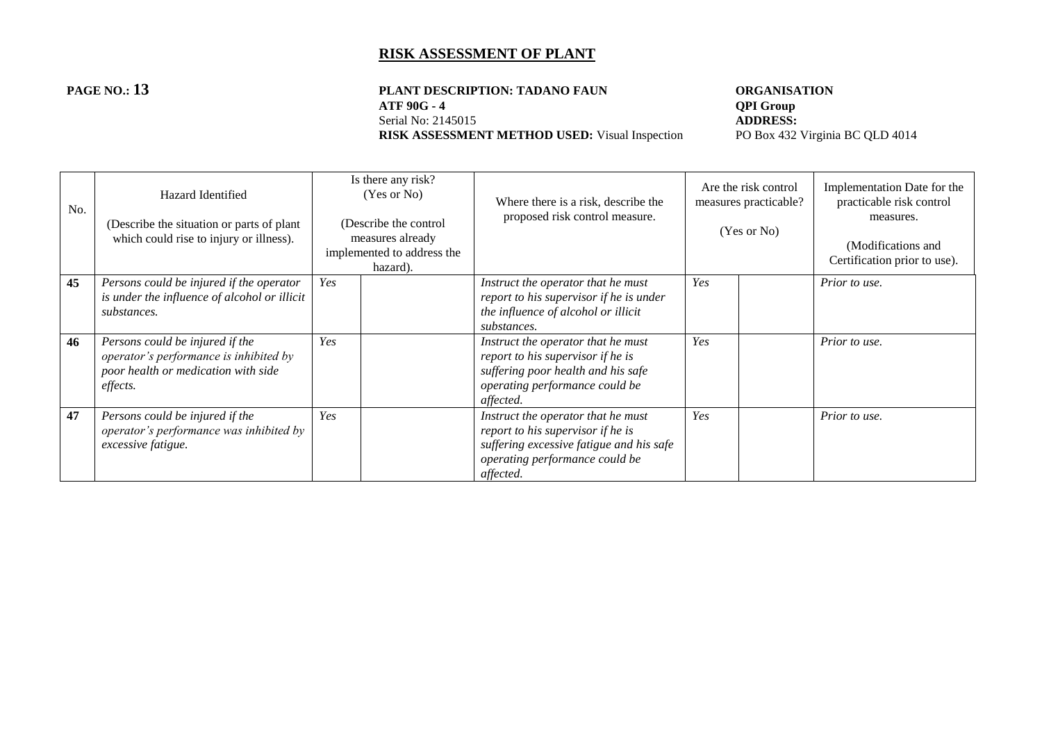#### **PAGE NO.: 13 PLANT DESCRIPTION: TADANO FAUN ORGANISATION**<br>ATF 90G - 4 **QPI Group ATF 90G - 4 QPI Group**<br>Serial No: 2145015 **ADDRESS:** Serial No: 2145015<br> **RISK ASSESSMENT METHOD USED:** Visual Inspection<br>
PO Box 432 Virginia BC QLD 4014 **RISK ASSESSMENT METHOD USED:** Visual Inspection

| No. | Hazard Identified<br>(Describe the situation or parts of plant<br>which could rise to injury or illness).                    | Is there any risk?<br>(Yes or No)<br>(Describe the control<br>measures already<br>implemented to address the<br>hazard). | Where there is a risk, describe the<br>proposed risk control measure.                                                                                              | Are the risk control<br>measures practicable?<br>(Yes or No) |  | Implementation Date for the<br>practicable risk control<br>measures.<br>(Modifications and<br>Certification prior to use). |
|-----|------------------------------------------------------------------------------------------------------------------------------|--------------------------------------------------------------------------------------------------------------------------|--------------------------------------------------------------------------------------------------------------------------------------------------------------------|--------------------------------------------------------------|--|----------------------------------------------------------------------------------------------------------------------------|
| 45  | Persons could be injured if the operator<br>is under the influence of alcohol or illicit<br>substances.                      | Yes                                                                                                                      | Instruct the operator that he must<br>report to his supervisor if he is under<br>the influence of alcohol or illicit<br>substances.                                | Yes                                                          |  | Prior to use.                                                                                                              |
| 46  | Persons could be injured if the<br>operator's performance is inhibited by<br>poor health or medication with side<br>effects. | Yes                                                                                                                      | Instruct the operator that he must<br>report to his supervisor if he is<br>suffering poor health and his safe<br>operating performance could be<br>affected.       | Yes                                                          |  | Prior to use.                                                                                                              |
| 47  | Persons could be injured if the<br>operator's performance was inhibited by<br>excessive fatigue.                             | Yes                                                                                                                      | Instruct the operator that he must<br>report to his supervisor if he is<br>suffering excessive fatigue and his safe<br>operating performance could be<br>affected. | Yes                                                          |  | Prior to use.                                                                                                              |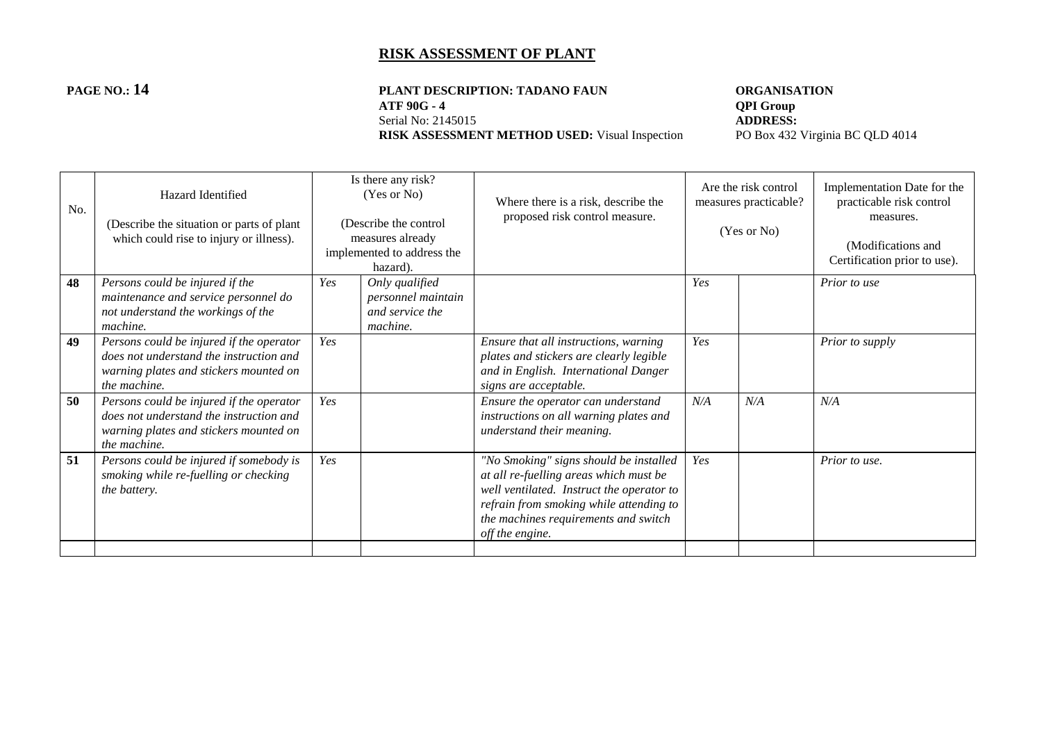# **PAGE NO.: 14 PLANT DESCRIPTION: TADANO FAUN ORGANISATION**<br>ATF 90G - 4 **QPI Group ATF 90G - 4 QPI Group**<br>Serial No: 2145015 **ADDRESS:**

**RISK ASSESSMENT METHOD USED:** Visual Inspection

Serial No: 2145015<br> **RISK ASSESSMENT METHOD USED:** Visual Inspection<br>
PO Box 432 Virginia BC QLD 4014

| No. | Hazard Identified<br>(Describe the situation or parts of plant<br>which could rise to injury or illness).                                     |     | Is there any risk?<br>(Yes or No)<br>(Describe the control<br>measures already<br>implemented to address the<br>hazard). | Where there is a risk, describe the<br>proposed risk control measure.                                                                                                                                                               | Are the risk control<br>measures practicable?<br>(Yes or No) |     | Implementation Date for the<br>practicable risk control<br>measures.<br>(Modifications and<br>Certification prior to use). |
|-----|-----------------------------------------------------------------------------------------------------------------------------------------------|-----|--------------------------------------------------------------------------------------------------------------------------|-------------------------------------------------------------------------------------------------------------------------------------------------------------------------------------------------------------------------------------|--------------------------------------------------------------|-----|----------------------------------------------------------------------------------------------------------------------------|
| 48  | Persons could be injured if the<br>maintenance and service personnel do<br>not understand the workings of the<br>machine.                     | Yes | Only qualified<br>personnel maintain<br>and service the<br>machine.                                                      |                                                                                                                                                                                                                                     | Yes                                                          |     | Prior to use                                                                                                               |
| 49  | Persons could be injured if the operator<br>does not understand the instruction and<br>warning plates and stickers mounted on<br>the machine. | Yes |                                                                                                                          | Ensure that all instructions, warning<br>plates and stickers are clearly legible<br>and in English. International Danger<br>signs are acceptable.                                                                                   | Yes                                                          |     | Prior to supply                                                                                                            |
| 50  | Persons could be injured if the operator<br>does not understand the instruction and<br>warning plates and stickers mounted on<br>the machine. | Yes |                                                                                                                          | Ensure the operator can understand<br>instructions on all warning plates and<br>understand their meaning.                                                                                                                           | N/A                                                          | N/A | N/A                                                                                                                        |
| 51  | Persons could be injured if somebody is<br>smoking while re-fuelling or checking<br>the battery.                                              | Yes |                                                                                                                          | "No Smoking" signs should be installed<br>at all re-fuelling areas which must be<br>well ventilated. Instruct the operator to<br>refrain from smoking while attending to<br>the machines requirements and switch<br>off the engine. | Yes                                                          |     | Prior to use.                                                                                                              |
|     |                                                                                                                                               |     |                                                                                                                          |                                                                                                                                                                                                                                     |                                                              |     |                                                                                                                            |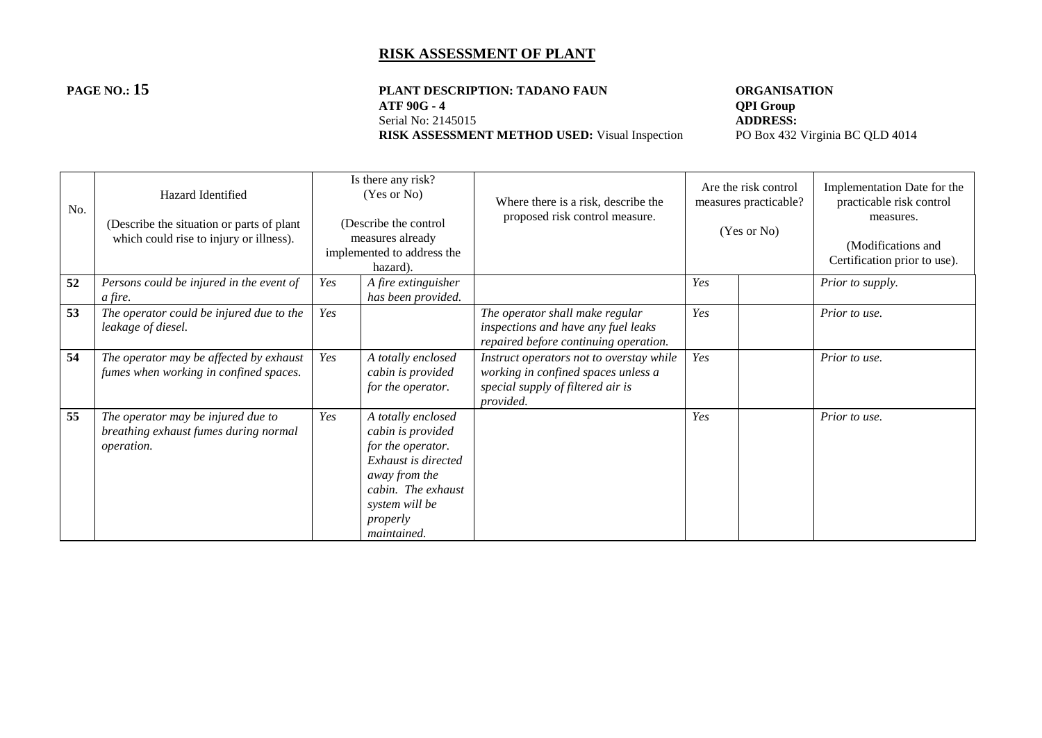#### **PAGE NO.: 15 PLANT DESCRIPTION: TADANO FAUN ORGANISATION**<br>ATF 90G - 4 **QPI Group ATF 90G - 4 QPI Group**<br>Serial No: 2145015 **ADDRESS:** Serial No: 2145015<br> **RISK ASSESSMENT METHOD USED:** Visual Inspection<br>
PO Box 432 Virginia BC QLD 4014 **RISK ASSESSMENT METHOD USED:** Visual Inspection

| No. | Hazard Identified<br>(Describe the situation or parts of plant)<br>which could rise to injury or illness). |     | Is there any risk?<br>(Yes or No)<br>(Describe the control<br>measures already<br>implemented to address the<br>hazard).                                                       | Where there is a risk, describe the<br>proposed risk control measure.                                                             | Are the risk control<br>measures practicable?<br>(Yes or No) |  | Implementation Date for the<br>practicable risk control<br>measures.<br>(Modifications and<br>Certification prior to use). |
|-----|------------------------------------------------------------------------------------------------------------|-----|--------------------------------------------------------------------------------------------------------------------------------------------------------------------------------|-----------------------------------------------------------------------------------------------------------------------------------|--------------------------------------------------------------|--|----------------------------------------------------------------------------------------------------------------------------|
| 52  | Persons could be injured in the event of<br>a fire.                                                        | Yes | A fire extinguisher<br>has been provided.                                                                                                                                      |                                                                                                                                   | Yes                                                          |  | Prior to supply.                                                                                                           |
| 53  | The operator could be injured due to the<br>leakage of diesel.                                             | Yes |                                                                                                                                                                                | The operator shall make regular<br>inspections and have any fuel leaks<br>repaired before continuing operation.                   | Yes                                                          |  | Prior to use.                                                                                                              |
| 54  | The operator may be affected by exhaust<br>fumes when working in confined spaces.                          | Yes | A totally enclosed<br>cabin is provided<br>for the operator.                                                                                                                   | Instruct operators not to overstay while<br>working in confined spaces unless a<br>special supply of filtered air is<br>provided. | Yes                                                          |  | Prior to use.                                                                                                              |
| 55  | The operator may be injured due to<br>breathing exhaust fumes during normal<br><i>operation.</i>           | Yes | A totally enclosed<br>cabin is provided<br>for the operator.<br>Exhaust is directed<br>away from the<br>cabin. The exhaust<br>system will be<br>properly<br><i>maintained.</i> |                                                                                                                                   | Yes                                                          |  | Prior to use.                                                                                                              |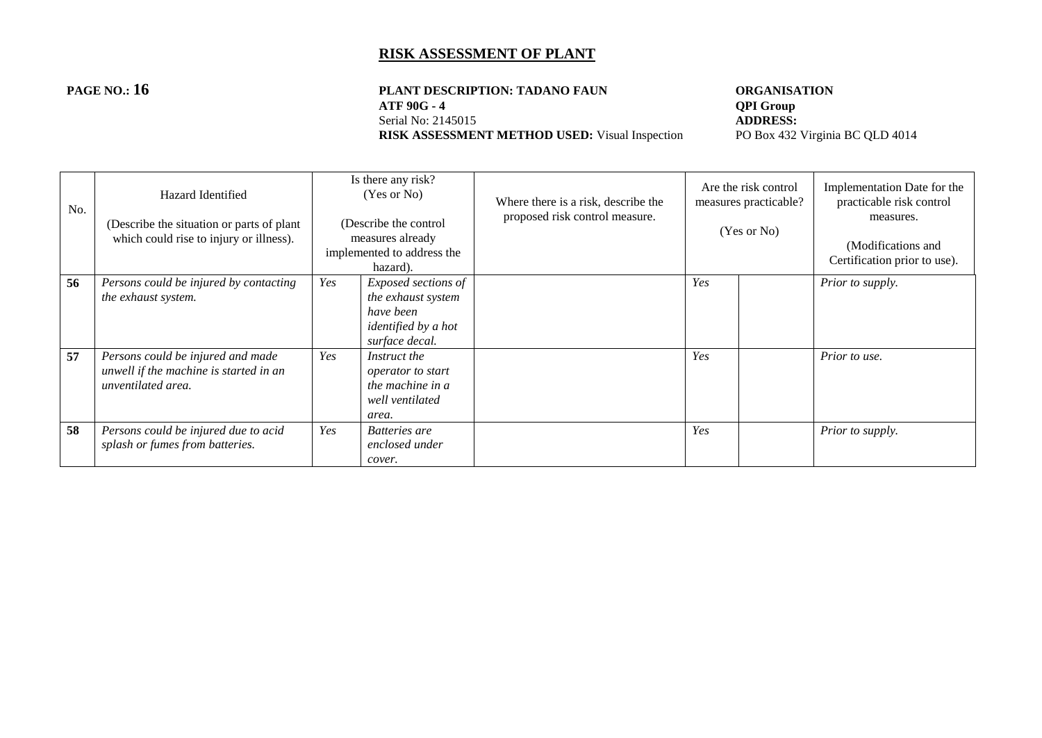#### **PAGE NO.: 16 PLANT DESCRIPTION: TADANO FAUN ORGANISATION**<br>ATF 90G - 4 **QPI Group ATF 90G - 4 QPI Group**<br>Serial No: 2145015 **ADDRESS:** Serial No: 2145015<br> **RISK ASSESSMENT METHOD USED:** Visual Inspection<br>
PO Box 432 Virginia BC QLD 4014 **RISK ASSESSMENT METHOD USED:** Visual Inspection

| No. | Hazard Identified<br>(Describe the situation or parts of plant)<br>which could rise to injury or illness). |     | Is there any risk?<br>(Yes or No)<br>(Describe the control<br>measures already<br>implemented to address the<br>hazard). | Where there is a risk, describe the<br>proposed risk control measure. | Are the risk control<br>measures practicable?<br>(Yes or No) |  | Implementation Date for the<br>practicable risk control<br>measures.<br>(Modifications and<br>Certification prior to use). |
|-----|------------------------------------------------------------------------------------------------------------|-----|--------------------------------------------------------------------------------------------------------------------------|-----------------------------------------------------------------------|--------------------------------------------------------------|--|----------------------------------------------------------------------------------------------------------------------------|
| 56  | Persons could be injured by contacting                                                                     | Yes | Exposed sections of                                                                                                      |                                                                       | Yes                                                          |  | Prior to supply.                                                                                                           |
|     | <i>the exhaust system.</i>                                                                                 |     | the exhaust system<br>have been                                                                                          |                                                                       |                                                              |  |                                                                                                                            |
|     |                                                                                                            |     | identified by a hot                                                                                                      |                                                                       |                                                              |  |                                                                                                                            |
|     |                                                                                                            |     | surface decal.                                                                                                           |                                                                       |                                                              |  |                                                                                                                            |
| 57  | Persons could be injured and made<br>unwell if the machine is started in an<br>unventilated area.          | Yes | Instruct the<br>operator to start<br>the machine in a<br>well ventilated<br>area.                                        |                                                                       | Yes                                                          |  | Prior to use.                                                                                                              |
| 58  | Persons could be injured due to acid<br>splash or fumes from batteries.                                    | Yes | Batteries are<br>enclosed under<br>cover.                                                                                |                                                                       | Yes                                                          |  | Prior to supply.                                                                                                           |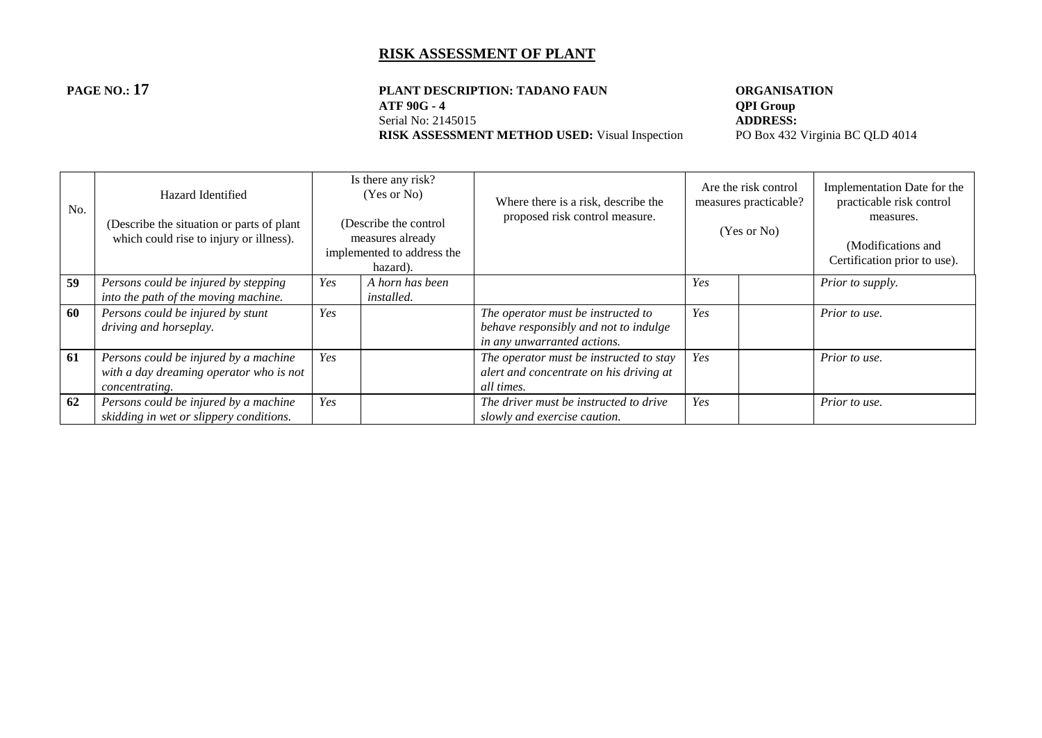#### **PAGE NO.: 17 PLANT DESCRIPTION: TADANO FAUN ORGANISATION**<br>ATF 90G - 4 **QPI Group ATF 90G - 4 QPI Group**<br>Serial No: 2145015 **ADDRESS:** Serial No: 2145015<br> **RISK ASSESSMENT METHOD USED:** Visual Inspection<br>
PO Box 432 Virginia BC QLD 4014 **RISK ASSESSMENT METHOD USED:** Visual Inspection

| No. | Hazard Identified<br>(Describe the situation or parts of plant)<br>which could rise to injury or illness). |     | Is there any risk?<br>(Yes or No)<br>(Describe the control<br>measures already<br>implemented to address the<br>hazard). | Where there is a risk, describe the<br>proposed risk control measure.                                      |     | Are the risk control<br>measures practicable?<br>(Yes or No) | Implementation Date for the<br>practicable risk control<br>measures.<br>(Modifications and<br>Certification prior to use). |
|-----|------------------------------------------------------------------------------------------------------------|-----|--------------------------------------------------------------------------------------------------------------------------|------------------------------------------------------------------------------------------------------------|-----|--------------------------------------------------------------|----------------------------------------------------------------------------------------------------------------------------|
| 59  | Persons could be injured by stepping<br>into the path of the moving machine.                               | Yes | A horn has been<br><i>installed.</i>                                                                                     |                                                                                                            | Yes |                                                              | Prior to supply.                                                                                                           |
| 60  | Persons could be injured by stunt<br>driving and horseplay.                                                | Yes |                                                                                                                          | The operator must be instructed to<br>behave responsibly and not to indulge<br>in any unwarranted actions. | Yes |                                                              | Prior to use.                                                                                                              |
| 61  | Persons could be injured by a machine<br>with a day dreaming operator who is not<br>concentrating.         | Yes |                                                                                                                          | The operator must be instructed to stay<br>alert and concentrate on his driving at<br>all times.           | Yes |                                                              | Prior to use.                                                                                                              |
| 62  | Persons could be injured by a machine<br>skidding in wet or slippery conditions.                           | Yes |                                                                                                                          | The driver must be instructed to drive<br>slowly and exercise caution.                                     | Yes |                                                              | Prior to use.                                                                                                              |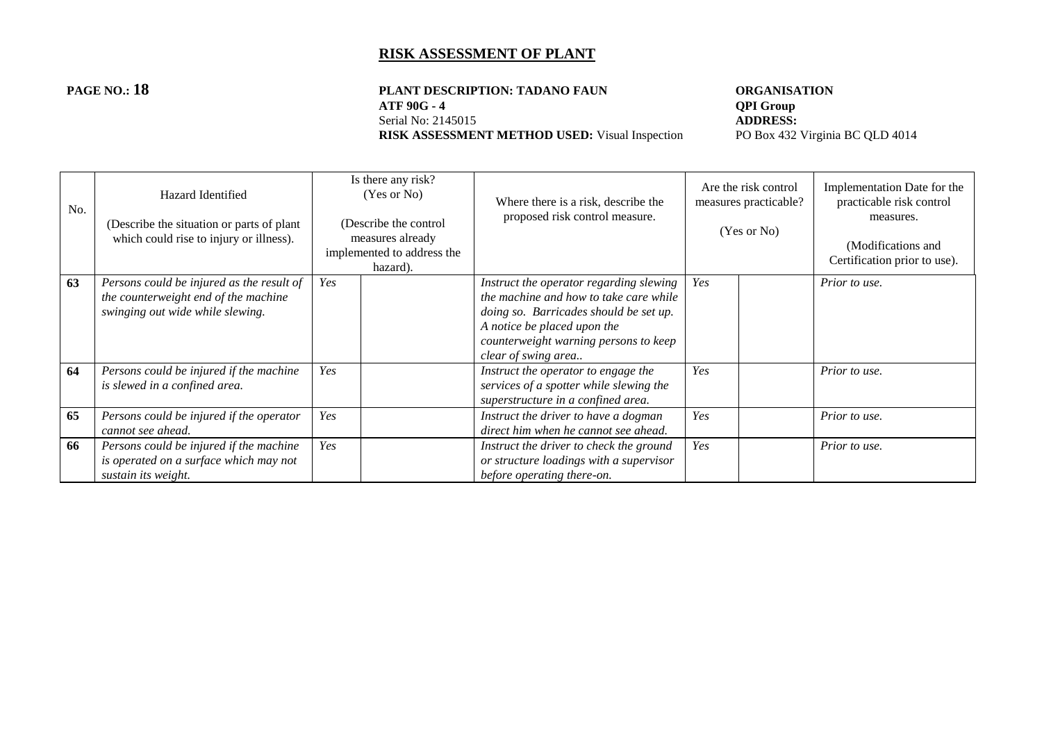#### **PAGE NO.: 18 PLANT DESCRIPTION: TADANO FAUN ORGANISATION**<br>ATF 90G - 4 **QPI Group ATF 90G - 4 QPI Group**<br>Serial No: 2145015 **ADDRESS:** Serial No: 2145015<br> **RISK ASSESSMENT METHOD USED:** Visual Inspection<br>
PO Box 432 Virginia BC QLD 4014 **RISK ASSESSMENT METHOD USED:** Visual Inspection

| No. | Hazard Identified<br>(Describe the situation or parts of plant<br>which could rise to injury or illness).             |     | Is there any risk?<br>(Yes or No)<br>(Describe the control<br>measures already<br>implemented to address the<br>hazard). | Where there is a risk, describe the<br>proposed risk control measure.                                                                                                                                                      | Are the risk control<br>measures practicable?<br>(Yes or No) |  | Implementation Date for the<br>practicable risk control<br>measures.<br>(Modifications and<br>Certification prior to use). |
|-----|-----------------------------------------------------------------------------------------------------------------------|-----|--------------------------------------------------------------------------------------------------------------------------|----------------------------------------------------------------------------------------------------------------------------------------------------------------------------------------------------------------------------|--------------------------------------------------------------|--|----------------------------------------------------------------------------------------------------------------------------|
| 63  | Persons could be injured as the result of<br>the counterweight end of the machine<br>swinging out wide while slewing. | Yes |                                                                                                                          | Instruct the operator regarding slewing<br>the machine and how to take care while<br>doing so. Barricades should be set up.<br>A notice be placed upon the<br>counterweight warning persons to keep<br>clear of swing area | Yes                                                          |  | Prior to use.                                                                                                              |
| 64  | Persons could be injured if the machine<br>is slewed in a confined area.                                              | Yes |                                                                                                                          | Instruct the operator to engage the<br>services of a spotter while slewing the<br>superstructure in a confined area.                                                                                                       | Yes                                                          |  | Prior to use.                                                                                                              |
| 65  | Persons could be injured if the operator<br>cannot see ahead.                                                         | Yes |                                                                                                                          | Instruct the driver to have a dogman<br>direct him when he cannot see ahead.                                                                                                                                               | Yes                                                          |  | Prior to use.                                                                                                              |
| 66  | Persons could be injured if the machine<br>is operated on a surface which may not<br>sustain its weight.              | Yes |                                                                                                                          | Instruct the driver to check the ground<br>or structure loadings with a supervisor<br>before operating there-on.                                                                                                           | Yes                                                          |  | Prior to use.                                                                                                              |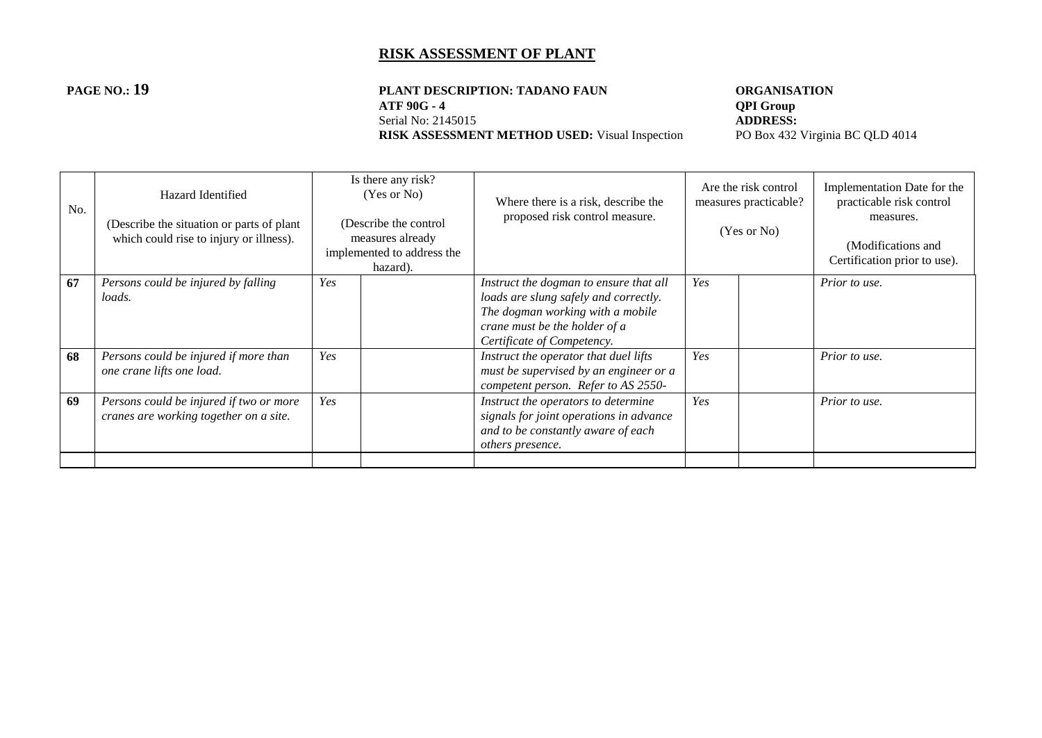#### **PAGE NO.: 19 PLANT DESCRIPTION: TADANO FAUN ORGANISATION**<br>ATF 90G - 4 **QPI Group ATF 90G - 4 QPI Group**<br>Serial No: 2145015 **ADDRESS:** Serial No: 2145015<br> **RISK ASSESSMENT METHOD USED:** Visual Inspection<br>
PO Box 432 Virginia BC QLD 4014 **RISK ASSESSMENT METHOD USED:** Visual Inspection

| No. | Hazard Identified<br>(Describe the situation or parts of plant<br>which could rise to injury or illness). |     | Is there any risk?<br>(Yes or No)<br>(Describe the control<br>measures already<br>implemented to address the<br>hazard). | Where there is a risk, describe the<br>proposed risk control measure.                                                                                                              | Are the risk control<br>measures practicable?<br>(Yes or No) |  | Implementation Date for the<br>practicable risk control<br>measures.<br>(Modifications and<br>Certification prior to use). |
|-----|-----------------------------------------------------------------------------------------------------------|-----|--------------------------------------------------------------------------------------------------------------------------|------------------------------------------------------------------------------------------------------------------------------------------------------------------------------------|--------------------------------------------------------------|--|----------------------------------------------------------------------------------------------------------------------------|
| 67  | Persons could be injured by falling<br><i>loads.</i>                                                      | Yes |                                                                                                                          | Instruct the dogman to ensure that all<br>loads are slung safely and correctly.<br>The dogman working with a mobile<br>crane must be the holder of a<br>Certificate of Competency. | Yes                                                          |  | Prior to use.                                                                                                              |
| 68  | Persons could be injured if more than<br>one crane lifts one load.                                        | Yes |                                                                                                                          | Instruct the operator that duel lifts<br>must be supervised by an engineer or a<br>competent person. Refer to AS 2550-                                                             | Yes                                                          |  | Prior to use.                                                                                                              |
| 69  | Persons could be injured if two or more<br>cranes are working together on a site.                         | Yes |                                                                                                                          | Instruct the operators to determine<br>signals for joint operations in advance<br>and to be constantly aware of each<br><i>others presence.</i>                                    | Yes                                                          |  | Prior to use.                                                                                                              |
|     |                                                                                                           |     |                                                                                                                          |                                                                                                                                                                                    |                                                              |  |                                                                                                                            |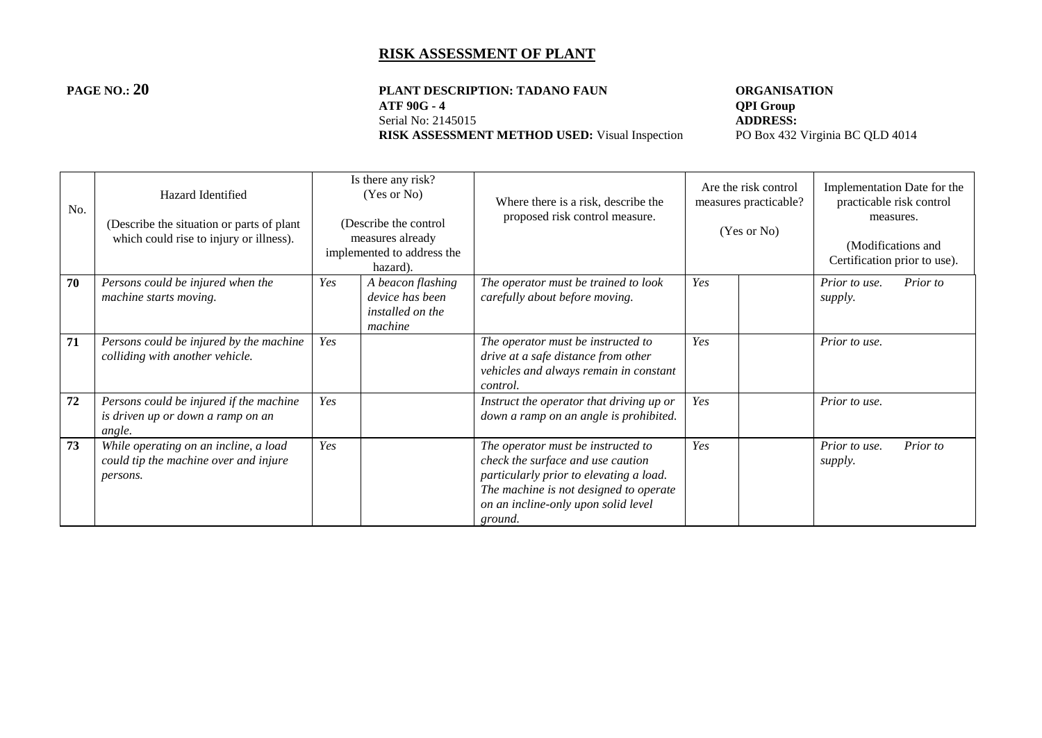#### **PAGE NO.: 20 PLANT DESCRIPTION: TADANO FAUN ORGANISATION**<br>ATF 90G - 4 **QPI Group ATF 90G - 4 QPI Group**<br>Serial No: 2145015 **ADDRESS:** Serial No: 2145015<br> **RISK ASSESSMENT METHOD USED:** Visual Inspection<br>
PO Box 432 Virginia BC QLD 4014 **RISK ASSESSMENT METHOD USED:** Visual Inspection

| No. | Hazard Identified<br>(Describe the situation or parts of plant)<br>which could rise to injury or illness). |     | Is there any risk?<br>(Yes or No)<br>(Describe the control<br>measures already<br>implemented to address the<br>hazard). | Where there is a risk, describe the<br>proposed risk control measure.                                                                                                                                          |     | Are the risk control<br>measures practicable?<br>(Yes or No) |                          | Implementation Date for the<br>practicable risk control<br>measures.<br>(Modifications and<br>Certification prior to use). |
|-----|------------------------------------------------------------------------------------------------------------|-----|--------------------------------------------------------------------------------------------------------------------------|----------------------------------------------------------------------------------------------------------------------------------------------------------------------------------------------------------------|-----|--------------------------------------------------------------|--------------------------|----------------------------------------------------------------------------------------------------------------------------|
| 70  | Persons could be injured when the<br>machine starts moving.                                                | Yes | A beacon flashing<br>device has been<br>installed on the<br>machine                                                      | The operator must be trained to look<br>carefully about before moving.                                                                                                                                         | Yes |                                                              | Prior to use.<br>supply. | Prior to                                                                                                                   |
| 71  | Persons could be injured by the machine<br>colliding with another vehicle.                                 | Yes |                                                                                                                          | The operator must be instructed to<br>drive at a safe distance from other<br>vehicles and always remain in constant<br>control.                                                                                | Yes |                                                              | Prior to use.            |                                                                                                                            |
| 72  | Persons could be injured if the machine<br>is driven up or down a ramp on an<br>angle.                     | Yes |                                                                                                                          | Instruct the operator that driving up or<br>down a ramp on an angle is prohibited.                                                                                                                             | Yes |                                                              | Prior to use.            |                                                                                                                            |
| 73  | While operating on an incline, a load<br>could tip the machine over and injure<br>persons.                 | Yes |                                                                                                                          | The operator must be instructed to<br>check the surface and use caution<br>particularly prior to elevating a load.<br>The machine is not designed to operate<br>on an incline-only upon solid level<br>ground. | Yes |                                                              | Prior to use.<br>supply. | Prior to                                                                                                                   |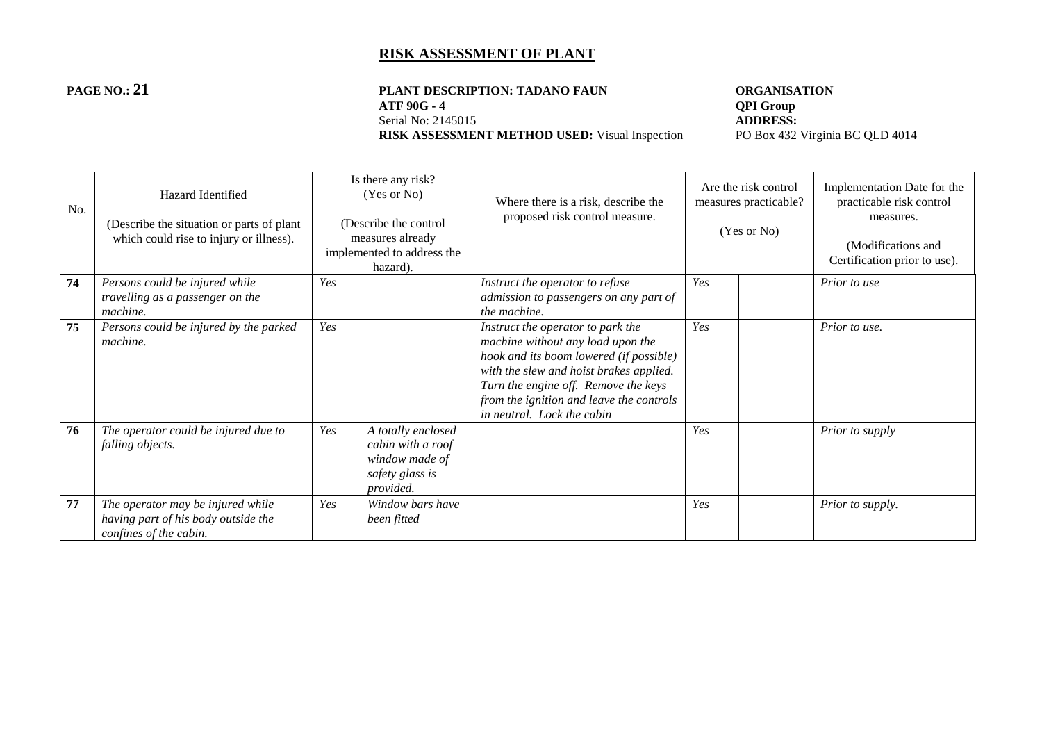#### **PAGE NO.: 21 PLANT DESCRIPTION: TADANO FAUN ORGANISATION**<br>ATF 90G - 4 **QPI Group ATF 90G - 4 QPI Group**<br>Serial No: 2145015 **ADDRESS:** Serial No: 2145015<br> **RISK ASSESSMENT METHOD USED:** Visual Inspection<br>
PO Box 432 Virginia BC QLD 4014 **RISK ASSESSMENT METHOD USED:** Visual Inspection

| No. | Hazard Identified<br>(Describe the situation or parts of plant)<br>which could rise to injury or illness). |     | Is there any risk?<br>(Yes or No)<br>(Describe the control<br>measures already<br>implemented to address the<br>hazard). | Where there is a risk, describe the<br>proposed risk control measure.                                                                                                                                                                     |     | Are the risk control<br>measures practicable?<br>(Yes or No) | Implementation Date for the<br>practicable risk control<br>measures.<br>(Modifications and<br>Certification prior to use). |
|-----|------------------------------------------------------------------------------------------------------------|-----|--------------------------------------------------------------------------------------------------------------------------|-------------------------------------------------------------------------------------------------------------------------------------------------------------------------------------------------------------------------------------------|-----|--------------------------------------------------------------|----------------------------------------------------------------------------------------------------------------------------|
| 74  | Persons could be injured while                                                                             | Yes |                                                                                                                          | Instruct the operator to refuse                                                                                                                                                                                                           | Yes |                                                              | Prior to use                                                                                                               |
|     | travelling as a passenger on the                                                                           |     |                                                                                                                          | admission to passengers on any part of                                                                                                                                                                                                    |     |                                                              |                                                                                                                            |
| 75  | machine.<br>Persons could be injured by the parked                                                         | Yes |                                                                                                                          | the machine.<br>Instruct the operator to park the                                                                                                                                                                                         | Yes |                                                              | Prior to use.                                                                                                              |
|     | machine.                                                                                                   |     |                                                                                                                          | machine without any load upon the<br>hook and its boom lowered (if possible)<br>with the slew and hoist brakes applied.<br>Turn the engine off. Remove the keys<br>from the ignition and leave the controls<br>in neutral. Lock the cabin |     |                                                              |                                                                                                                            |
| 76  | The operator could be injured due to<br>falling objects.                                                   | Yes | A totally enclosed<br>cabin with a roof<br>window made of<br>safety glass is<br>provided.                                |                                                                                                                                                                                                                                           | Yes |                                                              | Prior to supply                                                                                                            |
| 77  | The operator may be injured while<br>having part of his body outside the<br>confines of the cabin.         | Yes | Window bars have<br>been fitted                                                                                          |                                                                                                                                                                                                                                           | Yes |                                                              | Prior to supply.                                                                                                           |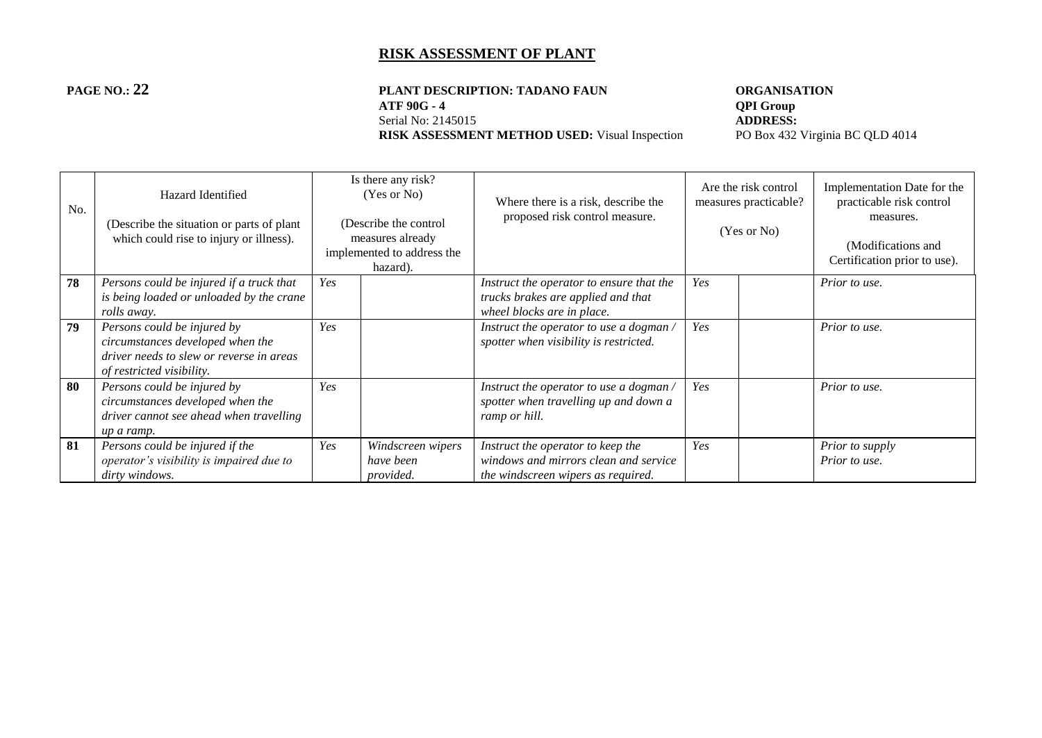#### **PAGE NO.: 22 PLANT DESCRIPTION: TADANO FAUN ORGANISATION**<br>ATF 90G - 4 **QPI Group ATF 90G - 4 QPI Group**<br>Serial No: 2145015 **ADDRESS:** Serial No: 2145015<br> **RISK ASSESSMENT METHOD USED:** Visual Inspection<br>
PO Box 432 Virginia BC QLD 4014 **RISK ASSESSMENT METHOD USED:** Visual Inspection

| No. | Hazard Identified<br>(Describe the situation or parts of plant<br>which could rise to injury or illness).                                |     | Is there any risk?<br>(Yes or No)<br>(Describe the control<br>measures already<br>implemented to address the<br>hazard). | Where there is a risk, describe the<br>proposed risk control measure.                                            | Are the risk control<br>measures practicable?<br>(Yes or No) |  | Implementation Date for the<br>practicable risk control<br>measures.<br>(Modifications and<br>Certification prior to use). |
|-----|------------------------------------------------------------------------------------------------------------------------------------------|-----|--------------------------------------------------------------------------------------------------------------------------|------------------------------------------------------------------------------------------------------------------|--------------------------------------------------------------|--|----------------------------------------------------------------------------------------------------------------------------|
| 78  | Persons could be injured if a truck that<br>is being loaded or unloaded by the crane<br>rolls away.                                      | Yes |                                                                                                                          | Instruct the operator to ensure that the<br>trucks brakes are applied and that<br>wheel blocks are in place.     | Yes                                                          |  | Prior to use.                                                                                                              |
| 79  | Persons could be injured by<br>circumstances developed when the<br>driver needs to slew or reverse in areas<br>of restricted visibility. | Yes |                                                                                                                          | Instruct the operator to use a dogman /<br>spotter when visibility is restricted.                                | Yes                                                          |  | Prior to use.                                                                                                              |
| 80  | Persons could be injured by<br>circumstances developed when the<br>driver cannot see ahead when travelling<br>up a ramp.                 | Yes |                                                                                                                          | Instruct the operator to use a dogman /<br>spotter when travelling up and down a<br>ramp or hill.                | Yes                                                          |  | Prior to use.                                                                                                              |
| 81  | Persons could be injured if the<br>operator's visibility is impaired due to<br>dirty windows.                                            | Yes | Windscreen wipers<br>have been<br>provided.                                                                              | Instruct the operator to keep the<br>windows and mirrors clean and service<br>the windscreen wipers as required. | Yes                                                          |  | Prior to supply<br>Prior to use.                                                                                           |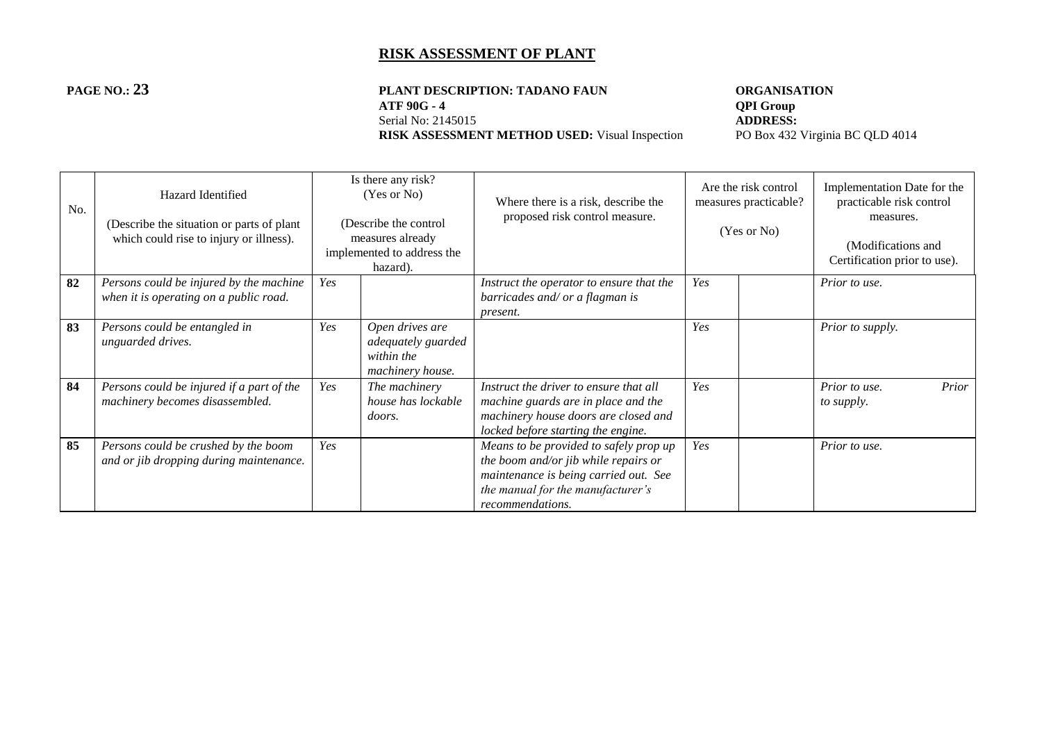# **PAGE NO.: 23 PLANT DESCRIPTION: TADANO FAUN ORGANISATION**<br>ATF 90G - 4 **OPI Group** Serial No: 2145015<br> **RISK ASSESSMENT METHOD USED:** Visual Inspection<br>
PO Box 432 Virginia BC QLD 4014 **RISK ASSESSMENT METHOD USED:** Visual Inspection

**ADDRESS:** 

| No. | Hazard Identified<br>(Describe the situation or parts of plant)<br>which could rise to injury or illness). |     | Is there any risk?<br>(Yes or No)<br>(Describe the control<br>measures already<br>implemented to address the<br>hazard). | Where there is a risk, describe the<br>proposed risk control measure.                                                                                                            |     | Are the risk control<br>measures practicable?<br>(Yes or No) | Implementation Date for the<br>practicable risk control<br>measures.<br>(Modifications and<br>Certification prior to use). |
|-----|------------------------------------------------------------------------------------------------------------|-----|--------------------------------------------------------------------------------------------------------------------------|----------------------------------------------------------------------------------------------------------------------------------------------------------------------------------|-----|--------------------------------------------------------------|----------------------------------------------------------------------------------------------------------------------------|
| 82  | Persons could be injured by the machine<br>when it is operating on a public road.                          | Yes |                                                                                                                          | Instruct the operator to ensure that the<br>barricades and/ or a flagman is<br>present.                                                                                          | Yes |                                                              | Prior to use.                                                                                                              |
| 83  | Persons could be entangled in<br>unguarded drives.                                                         | Yes | Open drives are<br>adequately guarded<br>within the<br>machinery house.                                                  |                                                                                                                                                                                  | Yes |                                                              | Prior to supply.                                                                                                           |
| 84  | Persons could be injured if a part of the<br>machinery becomes disassembled.                               | Yes | The machinery<br>house has lockable<br><i>doors.</i>                                                                     | Instruct the driver to ensure that all<br>machine guards are in place and the<br>machinery house doors are closed and<br>locked before starting the engine.                      | Yes |                                                              | Prior<br>Prior to use.<br>to supply.                                                                                       |
| 85  | Persons could be crushed by the boom<br>and or jib dropping during maintenance.                            | Yes |                                                                                                                          | Means to be provided to safely prop up<br>the boom and/or jib while repairs or<br>maintenance is being carried out. See<br>the manual for the manufacturer's<br>recommendations. | Yes |                                                              | Prior to use.                                                                                                              |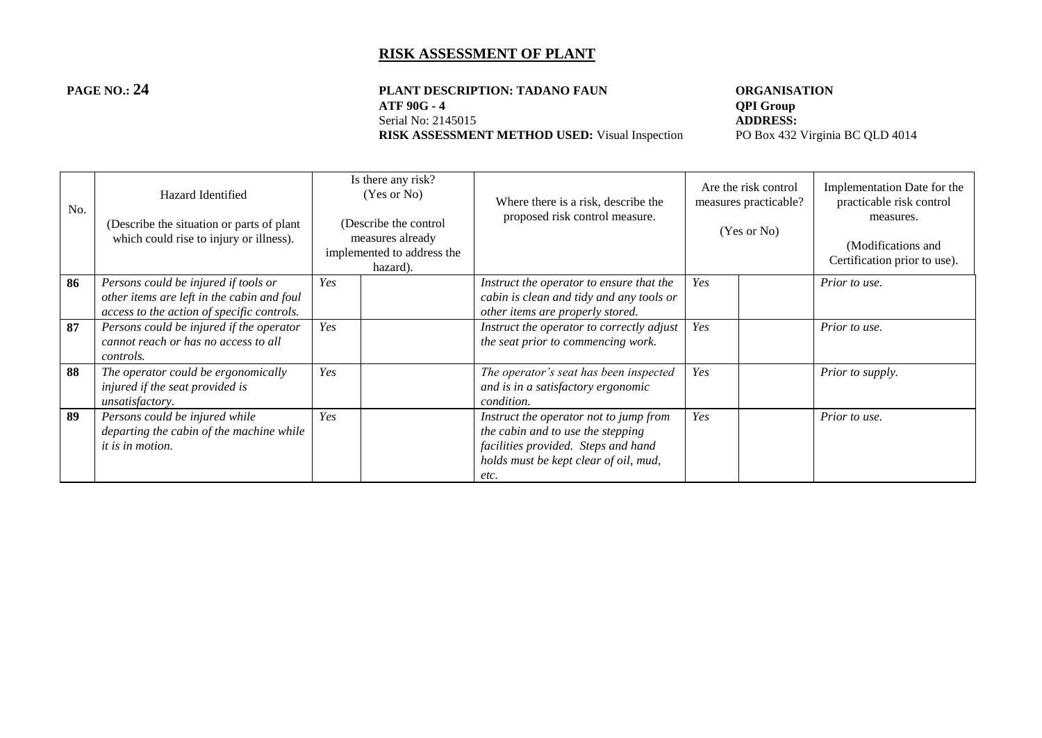#### **PAGE NO.: 24 PLANT DESCRIPTION: TADANO FAUN ORGANISATION**<br>ATF 90G - 4 **QPI Group ATF 90G - 4 QPI Group**<br>Serial No: 2145015 **ADDRESS:** Serial No: 2145015<br> **RISK ASSESSMENT METHOD USED:** Visual Inspection<br>
PO Box 432 Virginia BC QLD 4014 **RISK ASSESSMENT METHOD USED:** Visual Inspection

| No. | Hazard Identified<br>(Describe the situation or parts of plant)<br>which could rise to injury or illness).                       |     | Is there any risk?<br>(Yes or No)<br>(Describe the control<br>measures already<br>implemented to address the<br>hazard). | Where there is a risk, describe the<br>proposed risk control measure.                                                                                               | Are the risk control<br>measures practicable?<br>(Yes or No) |  | Implementation Date for the<br>practicable risk control<br>measures.<br>(Modifications and<br>Certification prior to use). |
|-----|----------------------------------------------------------------------------------------------------------------------------------|-----|--------------------------------------------------------------------------------------------------------------------------|---------------------------------------------------------------------------------------------------------------------------------------------------------------------|--------------------------------------------------------------|--|----------------------------------------------------------------------------------------------------------------------------|
| 86  | Persons could be injured if tools or<br>other items are left in the cabin and foul<br>access to the action of specific controls. | Yes |                                                                                                                          | Instruct the operator to ensure that the<br>cabin is clean and tidy and any tools or<br>other items are properly stored.                                            | Yes                                                          |  | Prior to use.                                                                                                              |
| 87  | Persons could be injured if the operator<br>cannot reach or has no access to all<br>controls.                                    | Yes |                                                                                                                          | Instruct the operator to correctly adjust<br>the seat prior to commencing work.                                                                                     | Yes                                                          |  | Prior to use.                                                                                                              |
| 88  | The operator could be ergonomically<br>injured if the seat provided is<br><i>unsatisfactory.</i>                                 | Yes |                                                                                                                          | The operator's seat has been inspected<br>and is in a satisfactory ergonomic<br>condition.                                                                          | Yes                                                          |  | Prior to supply.                                                                                                           |
| 89  | Persons could be injured while<br>departing the cabin of the machine while<br><i>it is in motion.</i>                            | Yes |                                                                                                                          | Instruct the operator not to jump from<br>the cabin and to use the stepping<br>facilities provided. Steps and hand<br>holds must be kept clear of oil, mud,<br>etc. | Yes                                                          |  | Prior to use.                                                                                                              |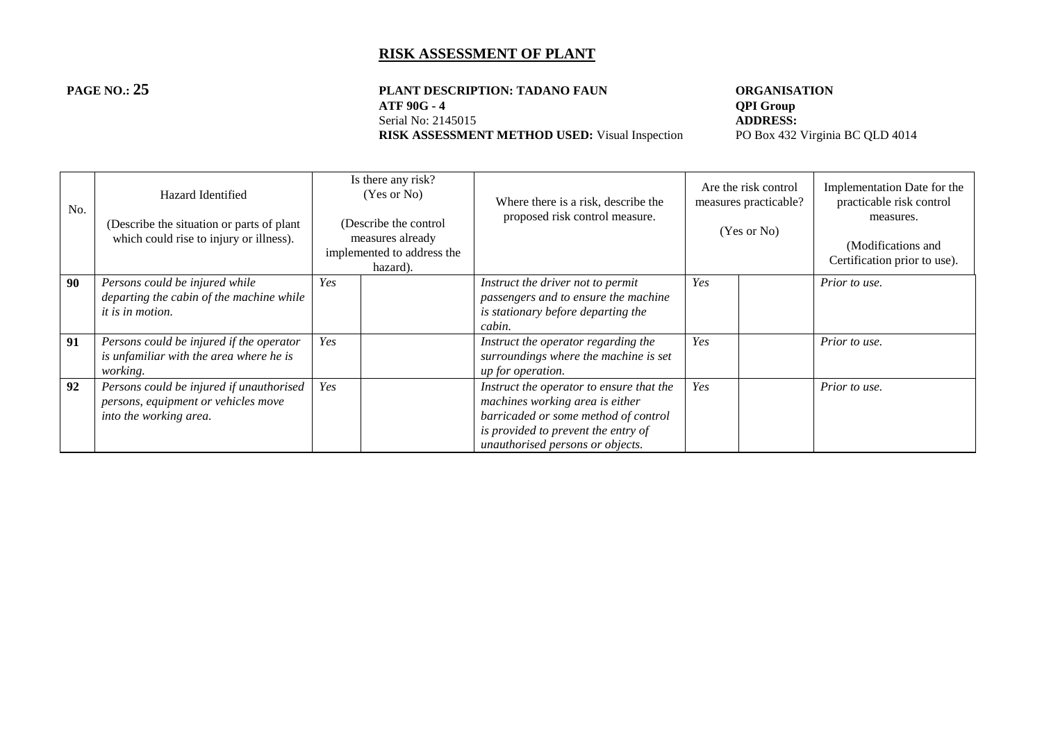#### **PAGE NO.: 25 PLANT DESCRIPTION: TADANO FAUN ORGANISATION**<br>ATF 90G - 4 **QPI Group ATF 90G - 4 QPI Group**<br>Serial No: 2145015 **ADDRESS:** Serial No: 2145015<br> **RISK ASSESSMENT METHOD USED:** Visual Inspection<br>
PO Box 432 Virginia BC QLD 4014 **RISK ASSESSMENT METHOD USED:** Visual Inspection

| No. | Hazard Identified<br>(Describe the situation or parts of plant)<br>which could rise to injury or illness). |     | Is there any risk?<br>(Yes or No)<br>(Describe the control<br>measures already<br>implemented to address the<br>hazard). | Where there is a risk, describe the<br>proposed risk control measure.                                                                                                                          | Are the risk control<br>measures practicable?<br>(Yes or No) |  | Implementation Date for the<br>practicable risk control<br>measures.<br>(Modifications and<br>Certification prior to use). |
|-----|------------------------------------------------------------------------------------------------------------|-----|--------------------------------------------------------------------------------------------------------------------------|------------------------------------------------------------------------------------------------------------------------------------------------------------------------------------------------|--------------------------------------------------------------|--|----------------------------------------------------------------------------------------------------------------------------|
| 90  | Persons could be injured while<br>departing the cabin of the machine while<br>it is in motion.             | Yes |                                                                                                                          | Instruct the driver not to permit<br>passengers and to ensure the machine<br>is stationary before departing the<br>cabin.                                                                      | Yes                                                          |  | Prior to use.                                                                                                              |
| 91  | Persons could be injured if the operator<br>is unfamiliar with the area where he is<br><i>working.</i>     | Yes |                                                                                                                          | Instruct the operator regarding the<br>surroundings where the machine is set<br>up for operation.                                                                                              | Yes                                                          |  | Prior to use.                                                                                                              |
| 92  | Persons could be injured if unauthorised<br>persons, equipment or vehicles move<br>into the working area.  | Yes |                                                                                                                          | Instruct the operator to ensure that the<br>machines working area is either<br>barricaded or some method of control<br>is provided to prevent the entry of<br>unauthorised persons or objects. | Yes                                                          |  | Prior to use.                                                                                                              |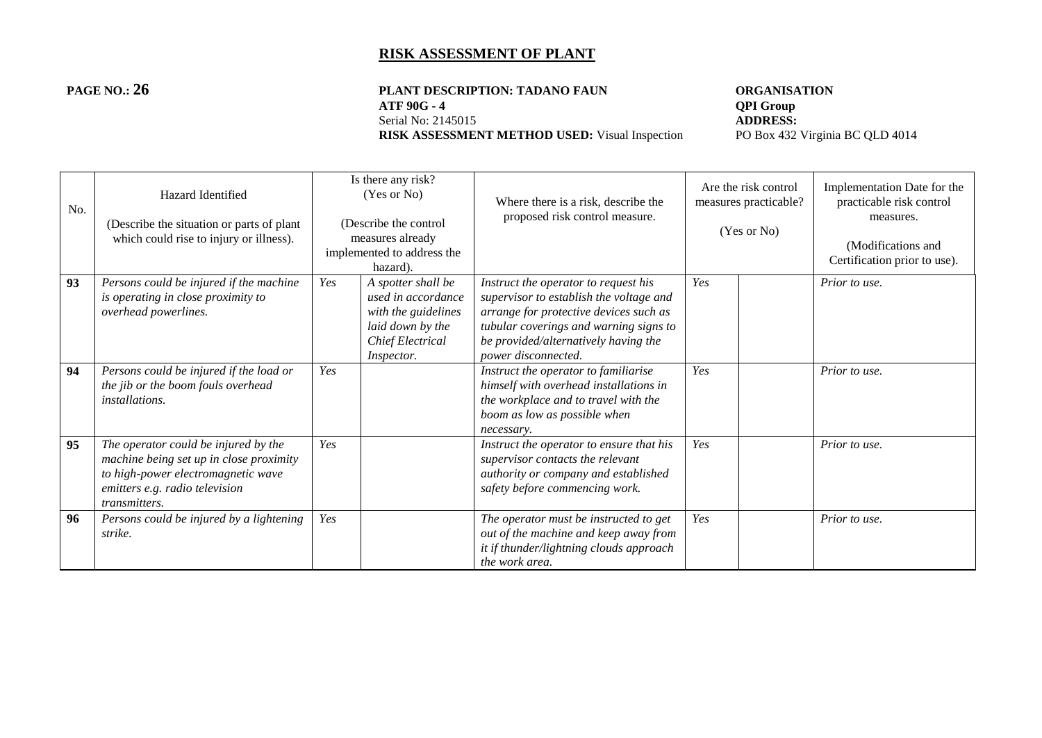# **PAGE NO.: 26 PLANT DESCRIPTION: TADANO FAUN ORGANISATION**<br>ATF 90G - 4 **OPI Group** Serial No: 2145015<br> **RISK ASSESSMENT METHOD USED:** Visual Inspection<br>
PO Box 432 Virginia BC QLD 4014 **RISK ASSESSMENT METHOD USED:** Visual Inspection

**ADDRESS:** 

| No. | Hazard Identified<br>(Describe the situation or parts of plant)<br>which could rise to injury or illness).                                                               |     | Is there any risk?<br>(Yes or No)<br>(Describe the control<br>measures already<br>implemented to address the<br>hazard). | Where there is a risk, describe the<br>proposed risk control measure.                                                                                                                                                              | Are the risk control<br>measures practicable?<br>(Yes or No) |  | Implementation Date for the<br>practicable risk control<br>measures.<br>(Modifications and<br>Certification prior to use). |
|-----|--------------------------------------------------------------------------------------------------------------------------------------------------------------------------|-----|--------------------------------------------------------------------------------------------------------------------------|------------------------------------------------------------------------------------------------------------------------------------------------------------------------------------------------------------------------------------|--------------------------------------------------------------|--|----------------------------------------------------------------------------------------------------------------------------|
| 93  | Persons could be injured if the machine<br>is operating in close proximity to<br>overhead powerlines.                                                                    | Yes | A spotter shall be<br>used in accordance<br>with the guidelines<br>laid down by the<br>Chief Electrical<br>Inspector.    | Instruct the operator to request his<br>supervisor to establish the voltage and<br>arrange for protective devices such as<br>tubular coverings and warning signs to<br>be provided/alternatively having the<br>power disconnected. | Yes                                                          |  | Prior to use.                                                                                                              |
| 94  | Persons could be injured if the load or<br>the jib or the boom fouls overhead<br><i>installations.</i>                                                                   | Yes |                                                                                                                          | Instruct the operator to familiarise<br>himself with overhead installations in<br>the workplace and to travel with the<br>boom as low as possible when<br>necessary.                                                               | Yes                                                          |  | Prior to use.                                                                                                              |
| 95  | The operator could be injured by the<br>machine being set up in close proximity<br>to high-power electromagnetic wave<br>emitters e.g. radio television<br>transmitters. | Yes |                                                                                                                          | Instruct the operator to ensure that his<br>supervisor contacts the relevant<br>authority or company and established<br>safety before commencing work.                                                                             | Yes                                                          |  | Prior to use.                                                                                                              |
| 96  | Persons could be injured by a lightening<br>strike.                                                                                                                      | Yes |                                                                                                                          | The operator must be instructed to get<br>out of the machine and keep away from<br>it if thunder/lightning clouds approach<br>the work area.                                                                                       | Yes                                                          |  | Prior to use.                                                                                                              |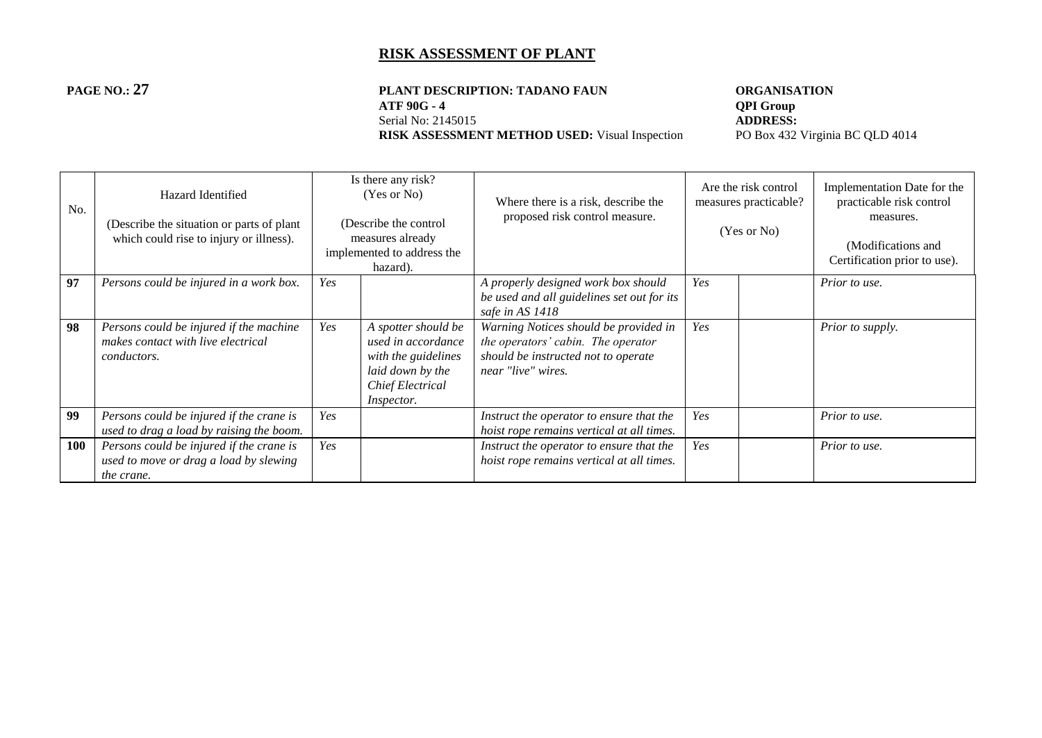#### **PAGE NO.: 27 PLANT DESCRIPTION: TADANO FAUN ORGANISATION**<br>ATF 90G - 4 **QPI Group ATF 90G - 4 QPI Group**<br>Serial No: 2145015 **ADDRESS:** Serial No: 2145015<br> **RISK ASSESSMENT METHOD USED:** Visual Inspection<br>
PO Box 432 Virginia BC QLD 4014 **RISK ASSESSMENT METHOD USED:** Visual Inspection

| No.        | Hazard Identified<br>(Describe the situation or parts of plant)<br>which could rise to injury or illness). |     | Is there any risk?<br>(Yes or No)<br>(Describe the control<br>measures already<br>implemented to address the<br>hazard).      | Where there is a risk, describe the<br>proposed risk control measure.                                                                    | Are the risk control<br>measures practicable?<br>(Yes or No) |  | Implementation Date for the<br>practicable risk control<br>measures.<br>(Modifications and<br>Certification prior to use). |
|------------|------------------------------------------------------------------------------------------------------------|-----|-------------------------------------------------------------------------------------------------------------------------------|------------------------------------------------------------------------------------------------------------------------------------------|--------------------------------------------------------------|--|----------------------------------------------------------------------------------------------------------------------------|
| 97         | Persons could be injured in a work box.                                                                    | Yes |                                                                                                                               | A properly designed work box should<br>be used and all guidelines set out for its<br>safe in AS 1418                                     | Yes                                                          |  | Prior to use.                                                                                                              |
| 98         | Persons could be injured if the machine<br>makes contact with live electrical<br><i>conductors.</i>        | Yes | A spotter should be<br>used in accordance<br>with the guidelines<br>laid down by the<br>Chief Electrical<br><i>Inspector.</i> | Warning Notices should be provided in<br>the operators' cabin. The operator<br>should be instructed not to operate<br>near "live" wires. | Yes                                                          |  | Prior to supply.                                                                                                           |
| 99         | Persons could be injured if the crane is<br>used to drag a load by raising the boom.                       | Yes |                                                                                                                               | Instruct the operator to ensure that the<br>hoist rope remains vertical at all times.                                                    | Yes                                                          |  | Prior to use.                                                                                                              |
| <b>100</b> | Persons could be injured if the crane is<br>used to move or drag a load by slewing<br>the crane.           | Yes |                                                                                                                               | Instruct the operator to ensure that the<br>hoist rope remains vertical at all times.                                                    | Yes                                                          |  | Prior to use.                                                                                                              |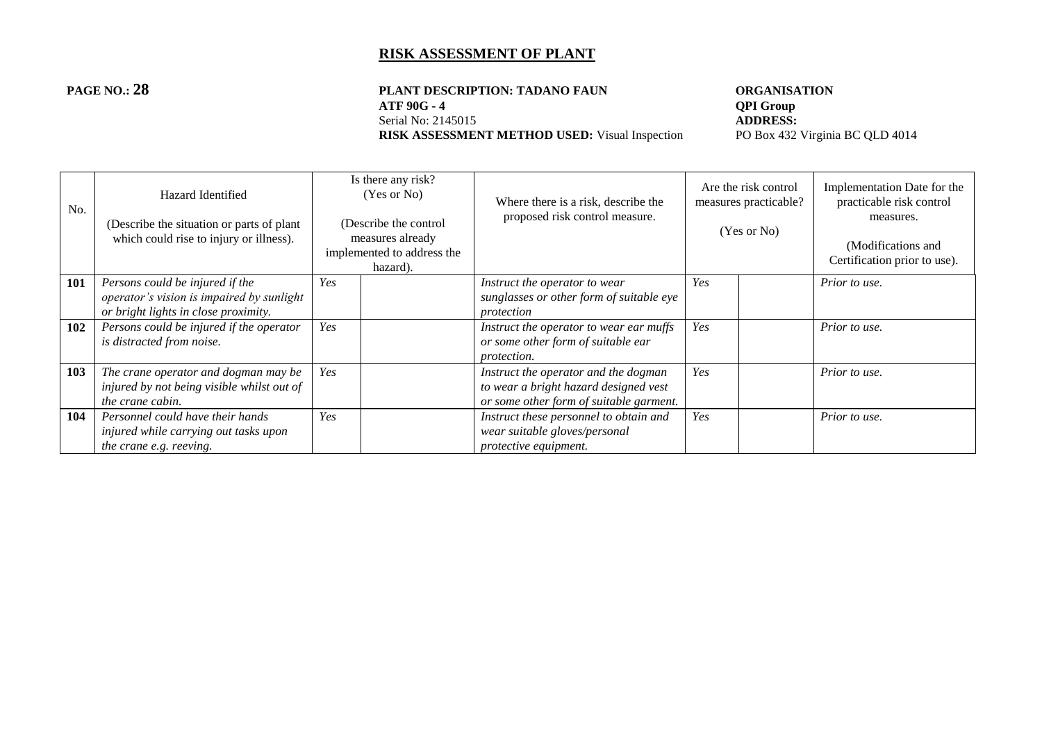#### **PAGE NO.: 28 PLANT DESCRIPTION: TADANO FAUN ORGANISATION**<br>ATF 90G - 4 **QPI Group ATF 90G - 4 QPI Group**<br>Serial No: 2145015 **ADDRESS:** Serial No: 2145015<br> **RISK ASSESSMENT METHOD USED:** Visual Inspection<br>
PO Box 432 Virginia BC QLD 4014 **RISK ASSESSMENT METHOD USED:** Visual Inspection

| No. | Hazard Identified<br>(Describe the situation or parts of plant)<br>which could rise to injury or illness).           |     | Is there any risk?<br>(Yes or No)<br>(Describe the control<br>measures already<br>implemented to address the<br>hazard). | Where there is a risk, describe the<br>proposed risk control measure.                                                    | Are the risk control<br>measures practicable?<br>(Yes or No) |  | Implementation Date for the<br>practicable risk control<br>measures.<br>(Modifications and<br>Certification prior to use). |
|-----|----------------------------------------------------------------------------------------------------------------------|-----|--------------------------------------------------------------------------------------------------------------------------|--------------------------------------------------------------------------------------------------------------------------|--------------------------------------------------------------|--|----------------------------------------------------------------------------------------------------------------------------|
| 101 | Persons could be injured if the<br>operator's vision is impaired by sunlight<br>or bright lights in close proximity. | Yes |                                                                                                                          | Instruct the operator to wear<br>sunglasses or other form of suitable eye<br>protection                                  | Yes                                                          |  | Prior to use.                                                                                                              |
| 102 | Persons could be injured if the operator<br>is distracted from noise.                                                | Yes |                                                                                                                          | Instruct the operator to wear ear muffs<br>or some other form of suitable ear<br><i>protection.</i>                      | Yes                                                          |  | Prior to use.                                                                                                              |
| 103 | The crane operator and dogman may be<br>injured by not being visible whilst out of<br>the crane cabin.               | Yes |                                                                                                                          | Instruct the operator and the dogman<br>to wear a bright hazard designed vest<br>or some other form of suitable garment. | Yes                                                          |  | Prior to use.                                                                                                              |
| 104 | Personnel could have their hands<br>injured while carrying out tasks upon<br><i>the crane e.g. reeving.</i>          | Yes |                                                                                                                          | Instruct these personnel to obtain and<br>wear suitable gloves/personal<br>protective equipment.                         | Yes                                                          |  | Prior to use.                                                                                                              |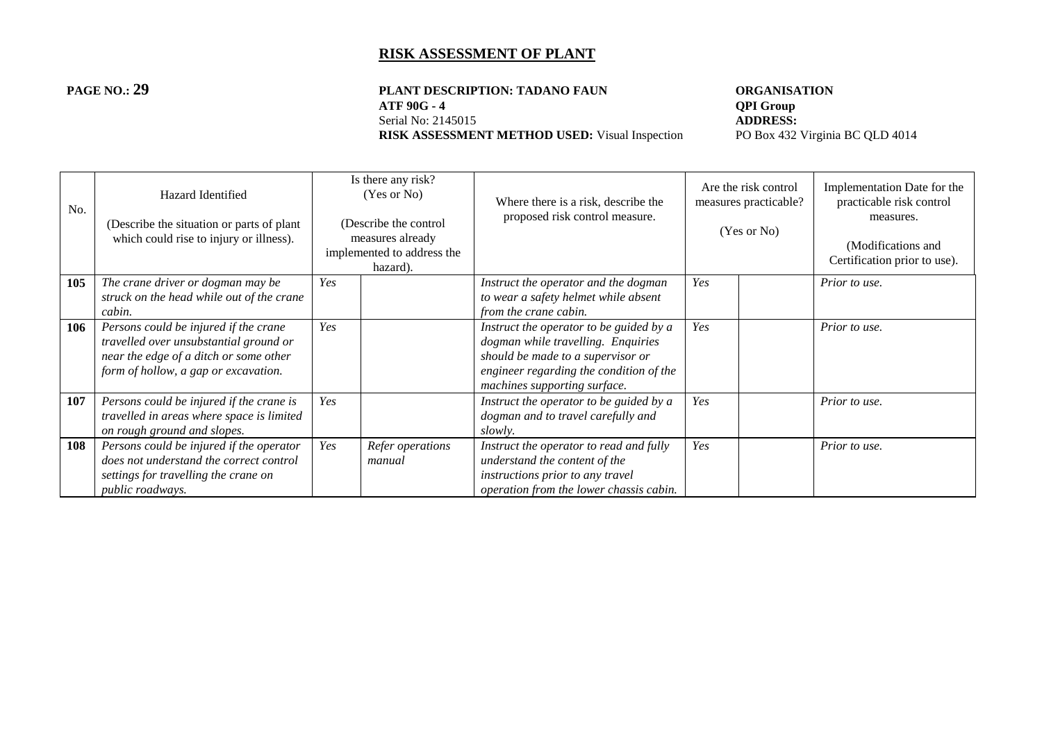#### **PAGE NO.: 29 PLANT DESCRIPTION: TADANO FAUN ORGANISATION**<br>ATF 90G - 4 **QPI Group ATF 90G - 4 QPI Group**<br>Serial No: 2145015 **ADDRESS:** Serial No: 2145015<br> **RISK ASSESSMENT METHOD USED:** Visual Inspection<br>
PO Box 432 Virginia BC QLD 4014 **RISK ASSESSMENT METHOD USED:** Visual Inspection

| No. | Hazard Identified<br>(Describe the situation or parts of plant)<br>which could rise to injury or illness).                                                        |     | Is there any risk?<br>(Yes or No)<br>(Describe the control<br>measures already<br>implemented to address the<br>hazard). | Where there is a risk, describe the<br>proposed risk control measure.                                                                                                                         | Are the risk control<br>measures practicable?<br>(Yes or No) |  | Implementation Date for the<br>practicable risk control<br>measures.<br>(Modifications and<br>Certification prior to use). |
|-----|-------------------------------------------------------------------------------------------------------------------------------------------------------------------|-----|--------------------------------------------------------------------------------------------------------------------------|-----------------------------------------------------------------------------------------------------------------------------------------------------------------------------------------------|--------------------------------------------------------------|--|----------------------------------------------------------------------------------------------------------------------------|
| 105 | The crane driver or dogman may be<br>struck on the head while out of the crane<br>cabin.                                                                          | Yes |                                                                                                                          | Instruct the operator and the dogman<br>to wear a safety helmet while absent<br>from the crane cabin.                                                                                         | Yes                                                          |  | Prior to use.                                                                                                              |
| 106 | Persons could be injured if the crane<br>travelled over unsubstantial ground or<br>near the edge of a ditch or some other<br>form of hollow, a gap or excavation. | Yes |                                                                                                                          | Instruct the operator to be guided by a<br>dogman while travelling. Enquiries<br>should be made to a supervisor or<br>engineer regarding the condition of the<br>machines supporting surface. | Yes                                                          |  | Prior to use.                                                                                                              |
| 107 | Persons could be injured if the crane is<br>travelled in areas where space is limited<br>on rough ground and slopes.                                              | Yes |                                                                                                                          | Instruct the operator to be guided by a<br>dogman and to travel carefully and<br>slowly.                                                                                                      | Yes                                                          |  | Prior to use.                                                                                                              |
| 108 | Persons could be injured if the operator<br>does not understand the correct control<br>settings for travelling the crane on<br>public roadways.                   | Yes | Refer operations<br>manual                                                                                               | Instruct the operator to read and fully<br>understand the content of the<br>instructions prior to any travel<br>operation from the lower chassis cabin.                                       | Yes                                                          |  | Prior to use.                                                                                                              |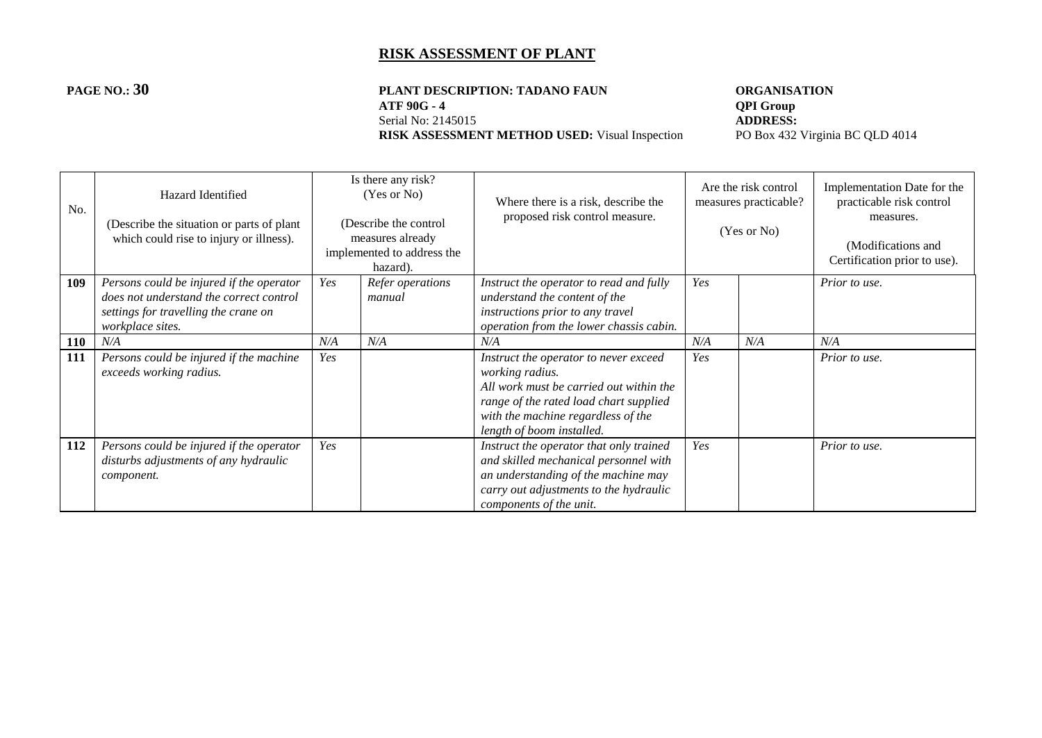# **PAGE NO.: 30 PLANT DESCRIPTION: TADANO FAUN ORGANISATION**<br>ATF 90G - 4 **OPI Group** Serial No: 2145015<br> **RISK ASSESSMENT METHOD USED:** Visual Inspection<br>
PO Box 432 Virginia BC QLD 4014 **RISK ASSESSMENT METHOD USED:** Visual Inspection

**ADDRESS:** 

| No. | Hazard Identified<br>(Describe the situation or parts of plant)<br>which could rise to injury or illness).                                      |     | Is there any risk?<br>(Yes or No)<br>(Describe the control<br>measures already<br>implemented to address the<br>hazard). | Where there is a risk, describe the<br>proposed risk control measure.                                                                                                                                            |     | Are the risk control<br>measures practicable?<br>(Yes or No) | Implementation Date for the<br>practicable risk control<br>measures.<br>(Modifications and<br>Certification prior to use). |
|-----|-------------------------------------------------------------------------------------------------------------------------------------------------|-----|--------------------------------------------------------------------------------------------------------------------------|------------------------------------------------------------------------------------------------------------------------------------------------------------------------------------------------------------------|-----|--------------------------------------------------------------|----------------------------------------------------------------------------------------------------------------------------|
| 109 | Persons could be injured if the operator<br>does not understand the correct control<br>settings for travelling the crane on<br>workplace sites. | Yes | Refer operations<br>manual                                                                                               | Instruct the operator to read and fully<br>understand the content of the<br>instructions prior to any travel<br>operation from the lower chassis cabin.                                                          | Yes |                                                              | Prior to use.                                                                                                              |
| 110 | N/A                                                                                                                                             | N/A | N/A                                                                                                                      | N/A                                                                                                                                                                                                              | N/A | N/A                                                          | N/A                                                                                                                        |
| 111 | Persons could be injured if the machine<br>exceeds working radius.                                                                              | Yes |                                                                                                                          | Instruct the operator to never exceed<br>working radius.<br>All work must be carried out within the<br>range of the rated load chart supplied<br>with the machine regardless of the<br>length of boom installed. | Yes |                                                              | Prior to use.                                                                                                              |
| 112 | Persons could be injured if the operator<br>disturbs adjustments of any hydraulic<br>component.                                                 | Yes |                                                                                                                          | Instruct the operator that only trained<br>and skilled mechanical personnel with<br>an understanding of the machine may<br>carry out adjustments to the hydraulic<br>components of the unit.                     | Yes |                                                              | Prior to use.                                                                                                              |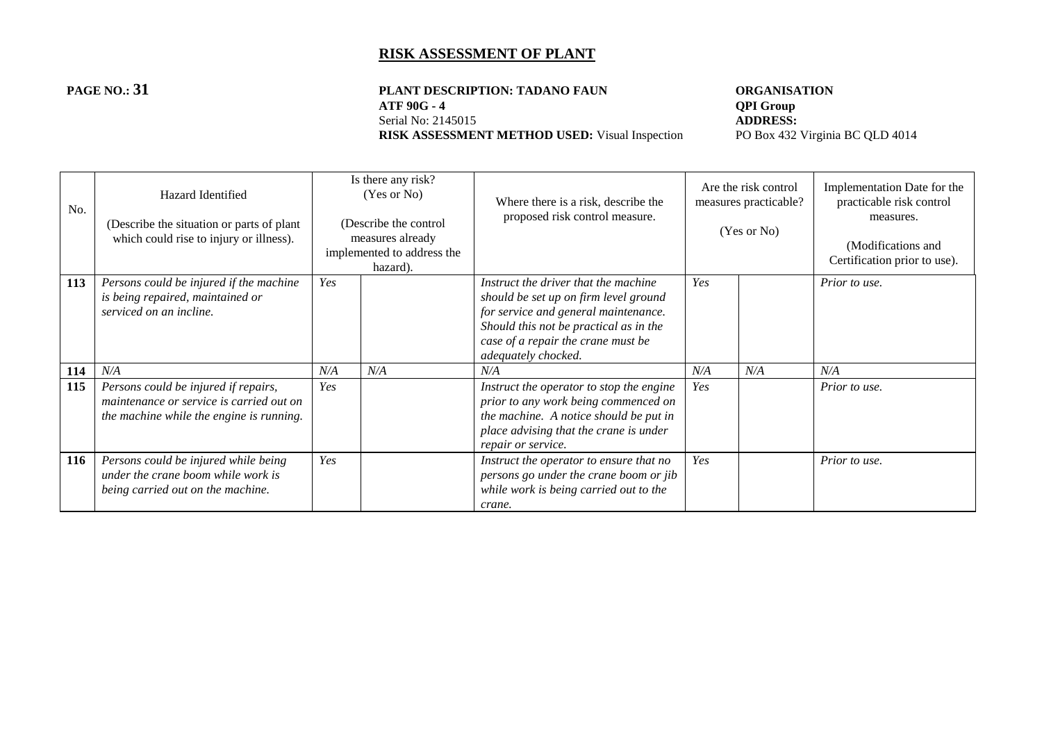#### **PAGE NO.: 31 PLANT DESCRIPTION: TADANO FAUN ORGANISATION**<br>ATF 90G - 4 **QPI** Group **ATF 90G - 4 QPI Group**<br>Serial No: 2145015 **ADDRESS:** Serial No: 2145015<br> **RISK ASSESSMENT METHOD USED:** Visual Inspection<br>
PO Box 432 Virginia BC QLD 4014 **RISK ASSESSMENT METHOD USED:** Visual Inspection

| No. | Hazard Identified<br>(Describe the situation or parts of plant)<br>which could rise to injury or illness).                   |     | Is there any risk?<br>(Yes or No)<br>(Describe the control<br>measures already<br>implemented to address the<br>hazard). | Where there is a risk, describe the<br>proposed risk control measure.                                                                                                                      | Are the risk control<br>measures practicable?<br>(Yes or No) |     | Implementation Date for the<br>practicable risk control<br>measures.<br>(Modifications and<br>Certification prior to use). |
|-----|------------------------------------------------------------------------------------------------------------------------------|-----|--------------------------------------------------------------------------------------------------------------------------|--------------------------------------------------------------------------------------------------------------------------------------------------------------------------------------------|--------------------------------------------------------------|-----|----------------------------------------------------------------------------------------------------------------------------|
| 113 | Persons could be injured if the machine<br>is being repaired, maintained or<br>serviced on an incline.                       | Yes |                                                                                                                          | Instruct the driver that the machine<br>should be set up on firm level ground<br>for service and general maintenance.<br>Should this not be practical as in the                            | Yes                                                          |     | Prior to use.                                                                                                              |
|     |                                                                                                                              |     |                                                                                                                          | case of a repair the crane must be<br>adequately chocked.                                                                                                                                  |                                                              |     |                                                                                                                            |
| 114 | N/A                                                                                                                          | N/A | N/A                                                                                                                      | N/A                                                                                                                                                                                        | N/A                                                          | N/A | N/A                                                                                                                        |
| 115 | Persons could be injured if repairs,<br>maintenance or service is carried out on<br>the machine while the engine is running. | Yes |                                                                                                                          | Instruct the operator to stop the engine<br>prior to any work being commenced on<br>the machine. A notice should be put in<br>place advising that the crane is under<br>repair or service. | Yes                                                          |     | Prior to use.                                                                                                              |
| 116 | Persons could be injured while being<br>under the crane boom while work is<br>being carried out on the machine.              | Yes |                                                                                                                          | Instruct the operator to ensure that no<br>persons go under the crane boom or jib<br>while work is being carried out to the<br>crane.                                                      | Yes                                                          |     | Prior to use.                                                                                                              |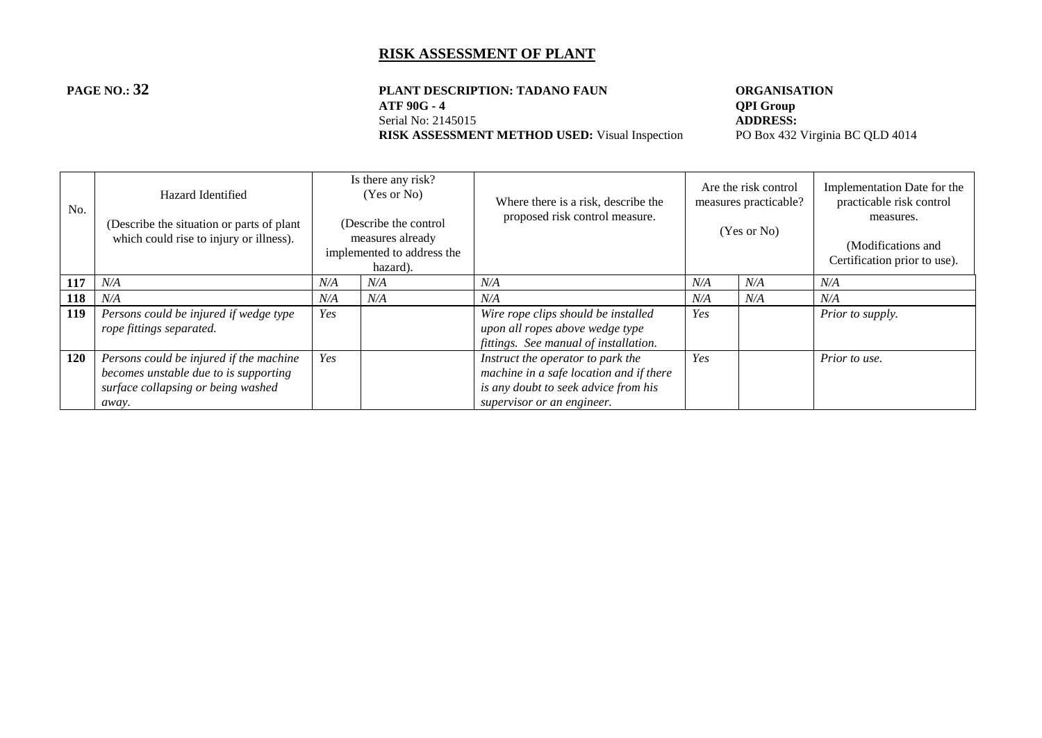#### **PAGE NO.: 32 PLANT DESCRIPTION: TADANO FAUN ORGANISATION**<br>ATF 90G - 4 **QPI Group ATF 90G - 4 QPI Group**<br>Serial No: 2145015 **ADDRESS:** Serial No: 2145015<br> **RISK ASSESSMENT METHOD USED:** Visual Inspection<br>
PO Box 432 Virginia BC QLD 4014 **RISK ASSESSMENT METHOD USED:** Visual Inspection

| No. | Hazard Identified<br>(Describe the situation or parts of plant)<br>which could rise to injury or illness).                      |     | Is there any risk?<br>(Yes or No)<br>(Describe the control<br>measures already<br>implemented to address the<br>hazard). | Where there is a risk, describe the<br>proposed risk control measure.                                                                              |     | Are the risk control<br>measures practicable?<br>(Yes or No) | Implementation Date for the<br>practicable risk control<br>measures.<br>(Modifications and<br>Certification prior to use). |
|-----|---------------------------------------------------------------------------------------------------------------------------------|-----|--------------------------------------------------------------------------------------------------------------------------|----------------------------------------------------------------------------------------------------------------------------------------------------|-----|--------------------------------------------------------------|----------------------------------------------------------------------------------------------------------------------------|
| 117 | N/A                                                                                                                             | N/A | N/A                                                                                                                      | N/A                                                                                                                                                | N/A | N/A                                                          | N/A                                                                                                                        |
| 118 | N/A                                                                                                                             | N/A | N/A                                                                                                                      | N/A                                                                                                                                                | N/A | N/A                                                          | N/A                                                                                                                        |
| 119 | Persons could be injured if wedge type<br>rope fittings separated.                                                              | Yes |                                                                                                                          | Wire rope clips should be installed<br>upon all ropes above wedge type<br>fittings. See manual of installation.                                    | Yes |                                                              | Prior to supply.                                                                                                           |
| 120 | Persons could be injured if the machine<br>becomes unstable due to is supporting<br>surface collapsing or being washed<br>away. | Yes |                                                                                                                          | Instruct the operator to park the<br>machine in a safe location and if there<br>is any doubt to seek advice from his<br>supervisor or an engineer. | Yes |                                                              | Prior to use.                                                                                                              |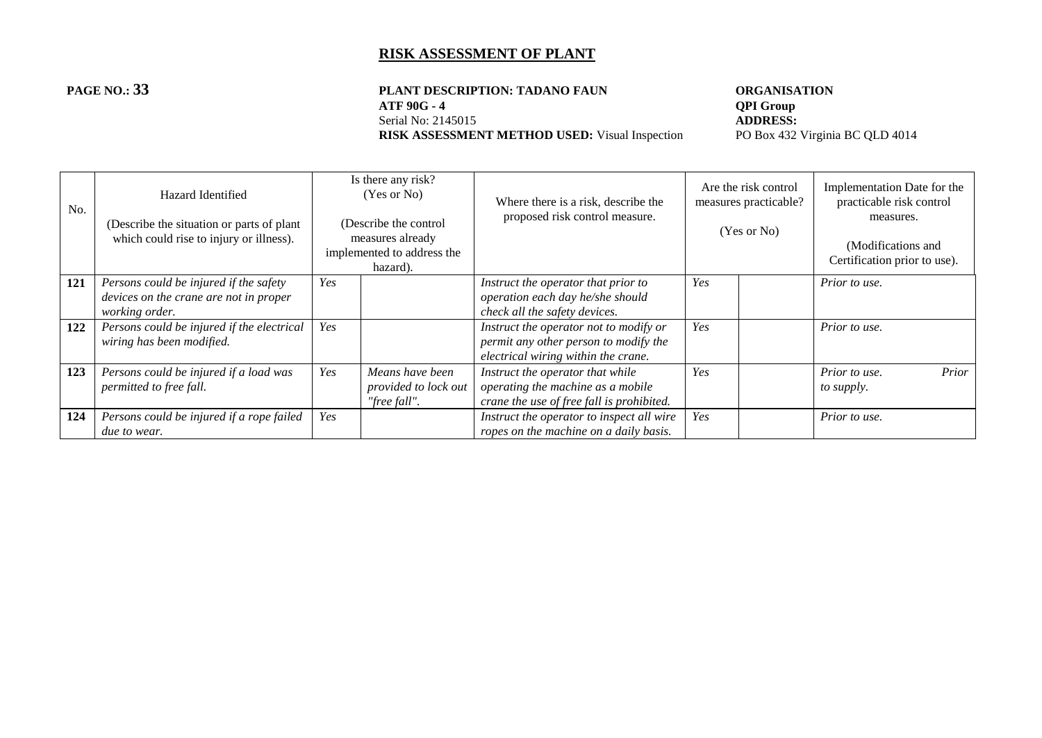#### **PAGE NO.: 33 PLANT DESCRIPTION: TADANO FAUN ORGANISATION**<br>ATF 90G - 4 **QPI Group ATF 90G - 4 QPI Group**<br>Serial No: 2145015 **ADDRESS:** Serial No: 2145015<br> **RISK ASSESSMENT METHOD USED:** Visual Inspection<br>
PO Box 432 Virginia BC QLD 4014 **RISK ASSESSMENT METHOD USED:** Visual Inspection

| No. | Hazard Identified<br>(Describe the situation or parts of plant)<br>which could rise to injury or illness). |     | Is there any risk?<br>(Yes or No)<br>(Describe the control<br>measures already<br>implemented to address the<br>hazard). | Where there is a risk, describe the<br>proposed risk control measure.                                                  |     | Are the risk control<br>measures practicable?<br>(Yes or No) | Implementation Date for the<br>practicable risk control<br>measures.<br>(Modifications and<br>Certification prior to use). |
|-----|------------------------------------------------------------------------------------------------------------|-----|--------------------------------------------------------------------------------------------------------------------------|------------------------------------------------------------------------------------------------------------------------|-----|--------------------------------------------------------------|----------------------------------------------------------------------------------------------------------------------------|
| 121 | Persons could be injured if the safety<br>devices on the crane are not in proper<br>working order.         | Yes |                                                                                                                          | Instruct the operator that prior to<br>operation each day he/she should<br>check all the safety devices.               | Yes |                                                              | Prior to use.                                                                                                              |
| 122 | Persons could be injured if the electrical<br>wiring has been modified.                                    | Yes |                                                                                                                          | Instruct the operator not to modify or<br>permit any other person to modify the<br>electrical wiring within the crane. | Yes |                                                              | Prior to use.                                                                                                              |
| 123 | Persons could be injured if a load was<br>permitted to free fall.                                          | Yes | Means have been<br>provided to lock out<br>"free fall".                                                                  | Instruct the operator that while<br>operating the machine as a mobile<br>crane the use of free fall is prohibited.     | Yes |                                                              | Prior to use.<br>Prior<br>to supply.                                                                                       |
| 124 | Persons could be injured if a rope failed<br><i>due to wear.</i>                                           | Yes |                                                                                                                          | Instruct the operator to inspect all wire<br>ropes on the machine on a daily basis.                                    | Yes |                                                              | Prior to use.                                                                                                              |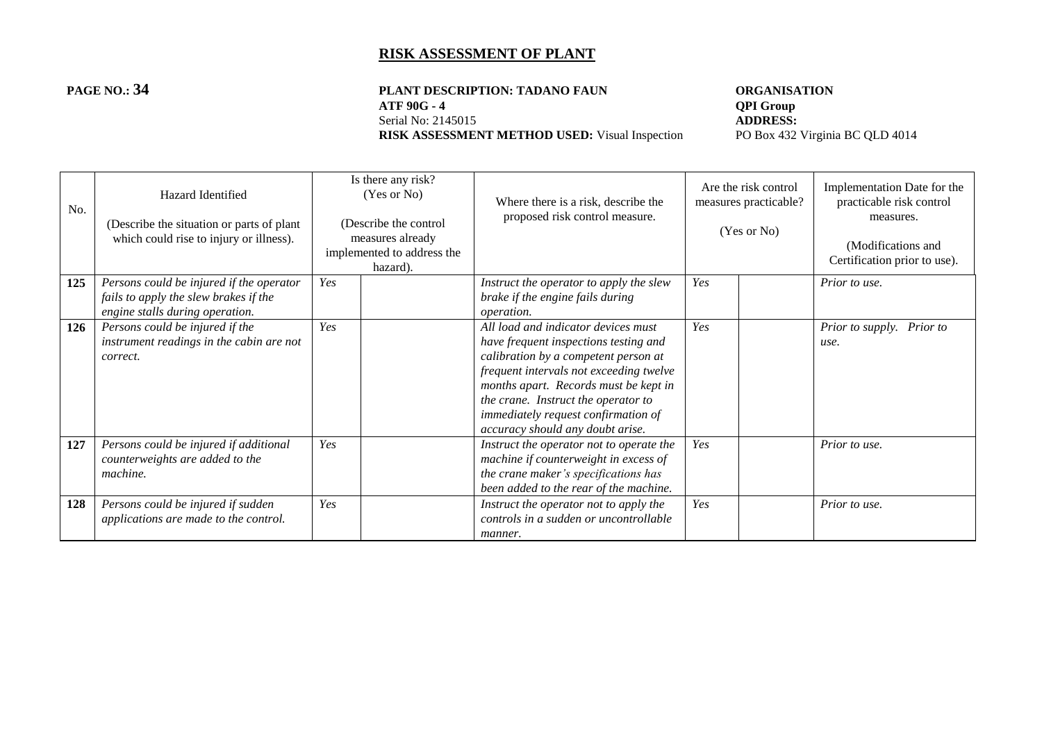#### **PAGE NO.: 34 PLANT DESCRIPTION: TADANO FAUN ORGANISATION**<br>ATF 90G - 4 **QPI Group ATF 90G - 4 QPI Group**<br>Serial No: 2145015 **ADDRESS:** Serial No: 2145015<br> **RISK ASSESSMENT METHOD USED:** Visual Inspection<br>
PO Box 432 Virginia BC QLD 4014 **RISK ASSESSMENT METHOD USED:** Visual Inspection

| No. | Hazard Identified<br>(Describe the situation or parts of plant)<br>which could rise to injury or illness). |     | Is there any risk?<br>(Yes or No)<br>(Describe the control<br>measures already<br>implemented to address the<br>hazard). | Where there is a risk, describe the<br>proposed risk control measure.                                                                                                                                                                                                                                                      | Are the risk control<br>measures practicable?<br>(Yes or No) |  | Implementation Date for the<br>practicable risk control<br>measures.<br>(Modifications and<br>Certification prior to use). |
|-----|------------------------------------------------------------------------------------------------------------|-----|--------------------------------------------------------------------------------------------------------------------------|----------------------------------------------------------------------------------------------------------------------------------------------------------------------------------------------------------------------------------------------------------------------------------------------------------------------------|--------------------------------------------------------------|--|----------------------------------------------------------------------------------------------------------------------------|
| 125 | Persons could be injured if the operator                                                                   | Yes |                                                                                                                          | Instruct the operator to apply the slew                                                                                                                                                                                                                                                                                    | Yes                                                          |  | Prior to use.                                                                                                              |
|     | fails to apply the slew brakes if the<br>engine stalls during operation.                                   |     |                                                                                                                          | brake if the engine fails during<br><i>operation.</i>                                                                                                                                                                                                                                                                      |                                                              |  |                                                                                                                            |
| 126 | Persons could be injured if the<br>instrument readings in the cabin are not<br>correct.                    | Yes |                                                                                                                          | All load and indicator devices must<br>have frequent inspections testing and<br>calibration by a competent person at<br>frequent intervals not exceeding twelve<br>months apart. Records must be kept in<br>the crane. Instruct the operator to<br>immediately request confirmation of<br>accuracy should any doubt arise. | Yes                                                          |  | Prior to supply. Prior to<br>use.                                                                                          |
| 127 | Persons could be injured if additional<br>counterweights are added to the<br>machine.                      | Yes |                                                                                                                          | Instruct the operator not to operate the<br>machine if counterweight in excess of<br>the crane maker's specifications has<br>been added to the rear of the machine.                                                                                                                                                        | Yes                                                          |  | Prior to use.                                                                                                              |
| 128 | Persons could be injured if sudden<br>applications are made to the control.                                | Yes |                                                                                                                          | Instruct the operator not to apply the<br>controls in a sudden or uncontrollable<br><i>manner.</i>                                                                                                                                                                                                                         | Yes                                                          |  | Prior to use.                                                                                                              |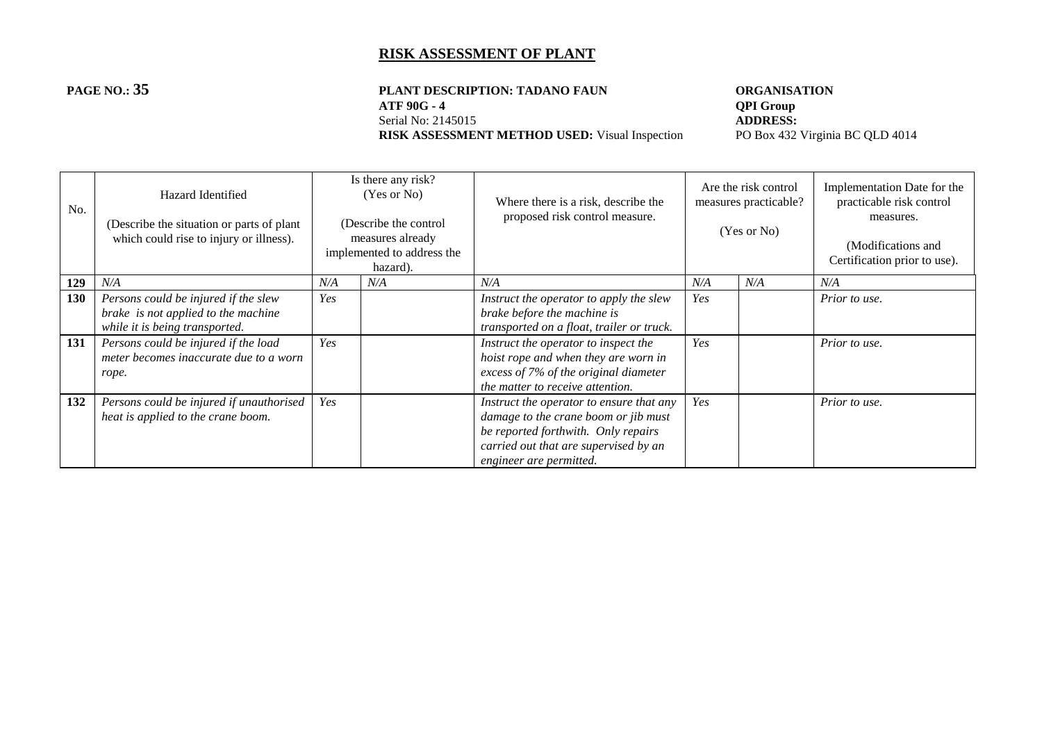# **PAGE NO.: 35 PLANT DESCRIPTION: TADANO FAUN ORGANISATION**<br>ATF 90G - 4 **QPI Group**

**RISK ASSESSMENT METHOD USED:** Visual Inspection

**ATF 90G - 4 QPI Group**<br>Serial No: 2145015 **ADDRESS:** Serial No: 2145015<br> **RISK ASSESSMENT METHOD USED:** Visual Inspection<br>
PO Box 432 Virginia BC QLD 4014

| No. | Hazard Identified<br>(Describe the situation or parts of plant)<br>which could rise to injury or illness).    |     | Is there any risk?<br>(Yes or No)<br>(Describe the control<br>measures already<br>implemented to address the<br>hazard). | Where there is a risk, describe the<br>proposed risk control measure.                                                                                                                       |     | Are the risk control<br>measures practicable?<br>(Yes or No) | Implementation Date for the<br>practicable risk control<br>measures.<br>(Modifications and<br>Certification prior to use). |
|-----|---------------------------------------------------------------------------------------------------------------|-----|--------------------------------------------------------------------------------------------------------------------------|---------------------------------------------------------------------------------------------------------------------------------------------------------------------------------------------|-----|--------------------------------------------------------------|----------------------------------------------------------------------------------------------------------------------------|
| 129 | N/A                                                                                                           | N/A | N/A                                                                                                                      | N/A                                                                                                                                                                                         | N/A | N/A                                                          | N/A                                                                                                                        |
| 130 | Persons could be injured if the slew<br>brake is not applied to the machine<br>while it is being transported. | Yes |                                                                                                                          | Instruct the operator to apply the slew<br>brake before the machine is<br>transported on a float, trailer or truck.                                                                         | Yes |                                                              | Prior to use.                                                                                                              |
| 131 | Persons could be injured if the load<br>meter becomes inaccurate due to a worn<br>rope.                       | Yes |                                                                                                                          | Instruct the operator to inspect the<br>hoist rope and when they are worn in<br>excess of 7% of the original diameter<br>the matter to receive attention.                                   | Yes |                                                              | Prior to use.                                                                                                              |
| 132 | Persons could be injured if unauthorised<br>heat is applied to the crane boom.                                | Yes |                                                                                                                          | Instruct the operator to ensure that any<br>damage to the crane boom or jib must<br>be reported forthwith. Only repairs<br>carried out that are supervised by an<br>engineer are permitted. | Yes |                                                              | Prior to use.                                                                                                              |